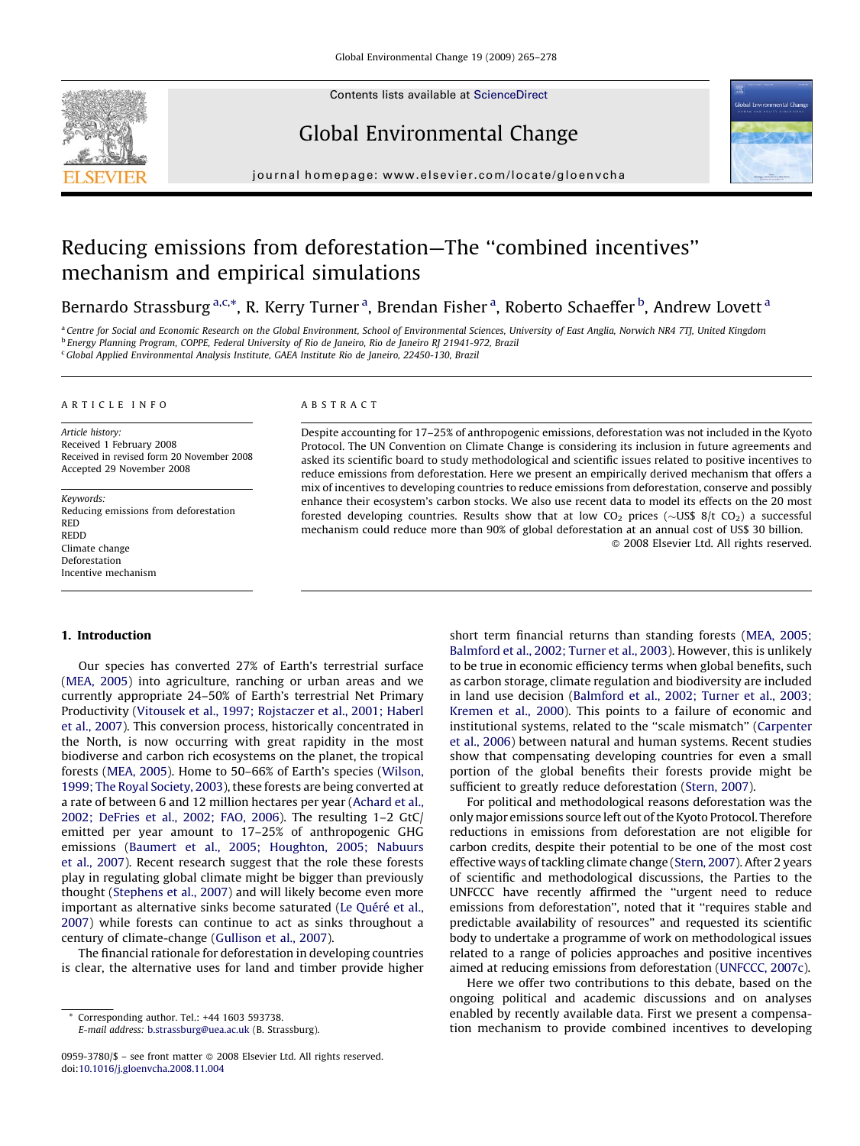

Contents lists available at [ScienceDirect](http://www.sciencedirect.com/science/journal/09593780)

# Global Environmental Change



journal homepage: www.elsevier.com/locate/gloenvcha

# Reducing emissions from deforestation—The ''combined incentives'' mechanism and empirical simulations

Bernardo Strassburg <sup>a,c,\*</sup>, R. Kerry Turner <sup>a</sup>, Brendan Fisher <sup>a</sup>, Roberto Schaeffer <sup>b</sup>, Andrew Lovett <sup>a</sup>

a Centre for Social and Economic Research on the Global Environment, School of Environmental Sciences, University of East Anglia, Norwich NR4 7TJ, United Kingdom <sup>b</sup> Energy Planning Program, COPPE, Federal University of Rio de Janeiro, Rio de Janeiro RJ 21941-972, Brazil <sup>c</sup>Global Applied Environmental Analysis Institute, GAEA Institute Rio de Janeiro, 22450-130, Brazil

ARTICLE INFO

Article history: Received 1 February 2008 Received in revised form 20 November 2008 Accepted 29 November 2008

Keywords: Reducing emissions from deforestation RED REDD Climate change Deforestation Incentive mechanism

# ABSTRACT

Despite accounting for 17–25% of anthropogenic emissions, deforestation was not included in the Kyoto Protocol. The UN Convention on Climate Change is considering its inclusion in future agreements and asked its scientific board to study methodological and scientific issues related to positive incentives to reduce emissions from deforestation. Here we present an empirically derived mechanism that offers a mix of incentives to developing countries to reduce emissions from deforestation, conserve and possibly enhance their ecosystem's carbon stocks. We also use recent data to model its effects on the 20 most forested developing countries. Results show that at low  $CO_2$  prices ( $\sim$ US\$ 8/t  $CO_2$ ) a successful mechanism could reduce more than 90% of global deforestation at an annual cost of US\$ 30 billion. - 2008 Elsevier Ltd. All rights reserved.

> short term financial returns than standing forests ([MEA, 2005;](#page-12-0) [Balmford et al., 2002; Turner et al., 2003\)](#page-12-0). However, this is unlikely to be true in economic efficiency terms when global benefits, such as carbon storage, climate regulation and biodiversity are included in land use decision [\(Balmford et al., 2002; Turner et al., 2003;](#page-12-0) [Kremen et al., 2000\)](#page-12-0). This points to a failure of economic and institutional systems, related to the ''scale mismatch'' ([Carpenter](#page-12-0) [et al., 2006\)](#page-12-0) between natural and human systems. Recent studies show that compensating developing countries for even a small portion of the global benefits their forests provide might be sufficient to greatly reduce deforestation ([Stern, 2007\)](#page-13-0).

For political and methodological reasons deforestation was the only major emissions source left out of the Kyoto Protocol. Therefore reductions in emissions from deforestation are not eligible for carbon credits, despite their potential to be one of the most cost effective ways of tackling climate change [\(Stern, 2007](#page-13-0)). After 2 years of scientific and methodological discussions, the Parties to the UNFCCC have recently affirmed the ''urgent need to reduce emissions from deforestation'', noted that it ''requires stable and predictable availability of resources'' and requested its scientific body to undertake a programme of work on methodological issues related to a range of policies approaches and positive incentives aimed at reducing emissions from deforestation ([UNFCCC, 2007c\)](#page-13-0).

Here we offer two contributions to this debate, based on the ongoing political and academic discussions and on analyses enabled by recently available data. First we present a compensation mechanism to provide combined incentives to developing

# 1. Introduction

Our species has converted 27% of Earth's terrestrial surface ([MEA, 2005\)](#page-12-0) into agriculture, ranching or urban areas and we currently appropriate 24–50% of Earth's terrestrial Net Primary Productivity ([Vitousek et al., 1997; Rojstaczer et al., 2001; Haberl](#page-13-0) [et al., 2007\)](#page-13-0). This conversion process, historically concentrated in the North, is now occurring with great rapidity in the most biodiverse and carbon rich ecosystems on the planet, the tropical forests [\(MEA, 2005\)](#page-12-0). Home to 50–66% of Earth's species ([Wilson,](#page-13-0) [1999; The Royal Society, 2003\)](#page-13-0), these forests are being converted at a rate of between 6 and 12 million hectares per year ([Achard et al.,](#page-12-0) [2002; DeFries et al., 2002; FAO, 2006](#page-12-0)). The resulting 1–2 GtC/ emitted per year amount to 17–25% of anthropogenic GHG emissions ([Baumert et al., 2005; Houghton, 2005; Nabuurs](#page-12-0) [et al., 2007](#page-12-0)). Recent research suggest that the role these forests play in regulating global climate might be bigger than previously thought [\(Stephens et al., 2007\)](#page-13-0) and will likely become even more important as alternative sinks become saturated (Le Quéré et al., [2007\)](#page-12-0) while forests can continue to act as sinks throughout a century of climate-change [\(Gullison et al., 2007\)](#page-12-0).

The financial rationale for deforestation in developing countries is clear, the alternative uses for land and timber provide higher

E-mail address: [b.strassburg@uea.ac.uk](mailto:b.strassburg@uea.ac.uk) (B. Strassburg).

Corresponding author. Tel.: +44 1603 593738.

<sup>0959-3780/\$ –</sup> see front matter © 2008 Elsevier Ltd. All rights reserved. doi:[10.1016/j.gloenvcha.2008.11.004](http://dx.doi.org/10.1016/j.gloenvcha.2008.11.004)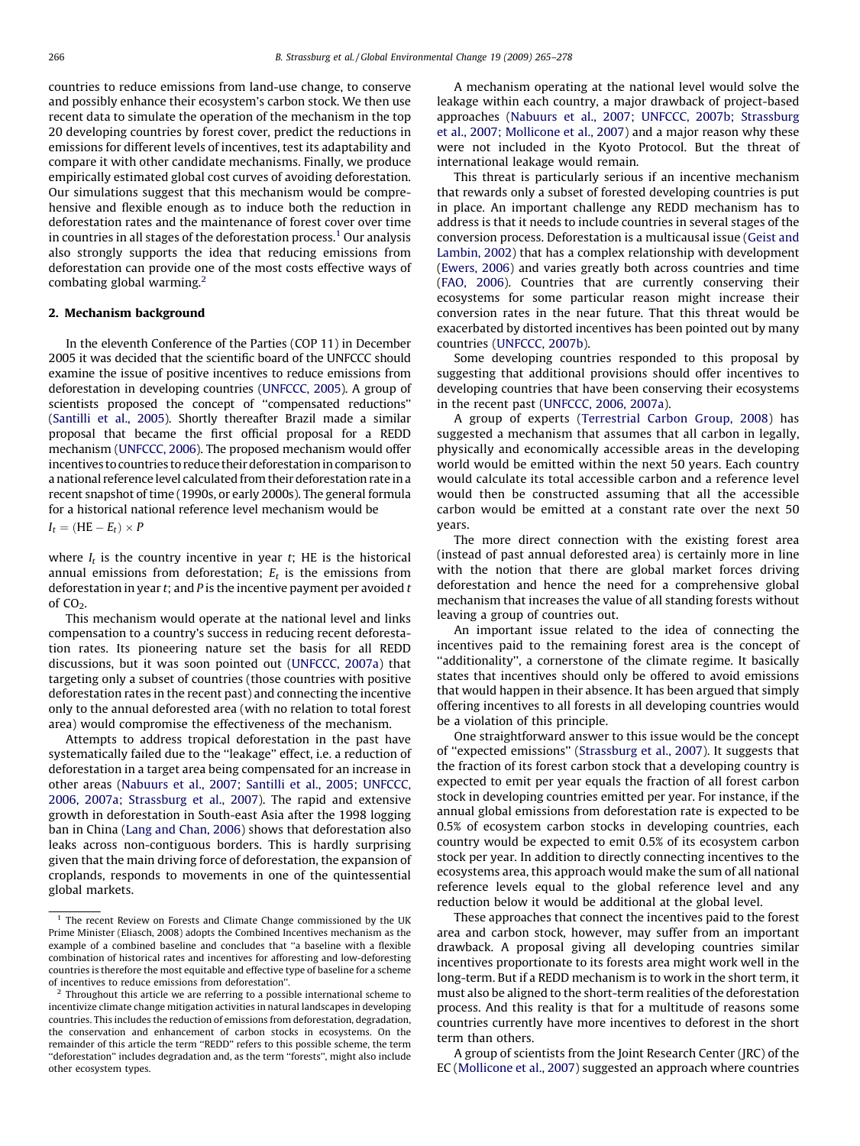countries to reduce emissions from land-use change, to conserve and possibly enhance their ecosystem's carbon stock. We then use recent data to simulate the operation of the mechanism in the top 20 developing countries by forest cover, predict the reductions in emissions for different levels of incentives, test its adaptability and compare it with other candidate mechanisms. Finally, we produce empirically estimated global cost curves of avoiding deforestation. Our simulations suggest that this mechanism would be comprehensive and flexible enough as to induce both the reduction in deforestation rates and the maintenance of forest cover over time in countries in all stages of the deforestation process.<sup>1</sup> Our analysis also strongly supports the idea that reducing emissions from deforestation can provide one of the most costs effective ways of combating global warming.2

# 2. Mechanism background

In the eleventh Conference of the Parties (COP 11) in December 2005 it was decided that the scientific board of the UNFCCC should examine the issue of positive incentives to reduce emissions from deforestation in developing countries ([UNFCCC, 2005](#page-13-0)). A group of scientists proposed the concept of ''compensated reductions'' ([Santilli et al., 2005\)](#page-13-0). Shortly thereafter Brazil made a similar proposal that became the first official proposal for a REDD mechanism [\(UNFCCC, 2006\)](#page-13-0). The proposed mechanism would offer incentives to countries to reduce their deforestation in comparison to a national reference level calculated from their deforestation rate in a recent snapshot of time (1990s, or early 2000s). The general formula for a historical national reference level mechanism would be  $I_t = (HE - E_t) \times P$ 

where  $I_t$  is the country incentive in year  $t$ ; HE is the historical annual emissions from deforestation;  $E_t$  is the emissions from deforestation in year  $t$ ; and  $P$  is the incentive payment per avoided  $t$ of  $CO<sub>2</sub>$ .

This mechanism would operate at the national level and links compensation to a country's success in reducing recent deforestation rates. Its pioneering nature set the basis for all REDD discussions, but it was soon pointed out [\(UNFCCC, 2007a](#page-13-0)) that targeting only a subset of countries (those countries with positive deforestation rates in the recent past) and connecting the incentive only to the annual deforested area (with no relation to total forest area) would compromise the effectiveness of the mechanism.

Attempts to address tropical deforestation in the past have systematically failed due to the ''leakage'' effect, i.e. a reduction of deforestation in a target area being compensated for an increase in other areas [\(Nabuurs et al., 2007; Santilli et al., 2005; UNFCCC,](#page-12-0) [2006, 2007a; Strassburg et al., 2007\)](#page-12-0). The rapid and extensive growth in deforestation in South-east Asia after the 1998 logging ban in China [\(Lang and Chan, 2006\)](#page-12-0) shows that deforestation also leaks across non-contiguous borders. This is hardly surprising given that the main driving force of deforestation, the expansion of croplands, responds to movements in one of the quintessential global markets.

A mechanism operating at the national level would solve the leakage within each country, a major drawback of project-based approaches ([Nabuurs et al., 2007; UNFCCC, 2007b; Strassburg](#page-12-0) [et al., 2007; Mollicone et al., 2007\)](#page-12-0) and a major reason why these were not included in the Kyoto Protocol. But the threat of international leakage would remain.

This threat is particularly serious if an incentive mechanism that rewards only a subset of forested developing countries is put in place. An important challenge any REDD mechanism has to address is that it needs to include countries in several stages of the conversion process. Deforestation is a multicausal issue [\(Geist and](#page-12-0) [Lambin, 2002\)](#page-12-0) that has a complex relationship with development ([Ewers, 2006](#page-12-0)) and varies greatly both across countries and time ([FAO, 2006](#page-12-0)). Countries that are currently conserving their ecosystems for some particular reason might increase their conversion rates in the near future. That this threat would be exacerbated by distorted incentives has been pointed out by many countries [\(UNFCCC, 2007b](#page-13-0)).

Some developing countries responded to this proposal by suggesting that additional provisions should offer incentives to developing countries that have been conserving their ecosystems in the recent past ([UNFCCC, 2006, 2007a](#page-13-0)).

A group of experts ([Terrestrial Carbon Group, 2008](#page-13-0)) has suggested a mechanism that assumes that all carbon in legally, physically and economically accessible areas in the developing world would be emitted within the next 50 years. Each country would calculate its total accessible carbon and a reference level would then be constructed assuming that all the accessible carbon would be emitted at a constant rate over the next 50 years.

The more direct connection with the existing forest area (instead of past annual deforested area) is certainly more in line with the notion that there are global market forces driving deforestation and hence the need for a comprehensive global mechanism that increases the value of all standing forests without leaving a group of countries out.

An important issue related to the idea of connecting the incentives paid to the remaining forest area is the concept of ''additionality'', a cornerstone of the climate regime. It basically states that incentives should only be offered to avoid emissions that would happen in their absence. It has been argued that simply offering incentives to all forests in all developing countries would be a violation of this principle.

One straightforward answer to this issue would be the concept of ''expected emissions'' [\(Strassburg et al., 2007\)](#page-13-0). It suggests that the fraction of its forest carbon stock that a developing country is expected to emit per year equals the fraction of all forest carbon stock in developing countries emitted per year. For instance, if the annual global emissions from deforestation rate is expected to be 0.5% of ecosystem carbon stocks in developing countries, each country would be expected to emit 0.5% of its ecosystem carbon stock per year. In addition to directly connecting incentives to the ecosystems area, this approach would make the sum of all national reference levels equal to the global reference level and any reduction below it would be additional at the global level.

These approaches that connect the incentives paid to the forest area and carbon stock, however, may suffer from an important drawback. A proposal giving all developing countries similar incentives proportionate to its forests area might work well in the long-term. But if a REDD mechanism is to work in the short term, it must also be aligned to the short-term realities of the deforestation process. And this reality is that for a multitude of reasons some countries currently have more incentives to deforest in the short term than others.

A group of scientists from the Joint Research Center (JRC) of the EC [\(Mollicone et al., 2007](#page-12-0)) suggested an approach where countries

<sup>&</sup>lt;sup>1</sup> The recent Review on Forests and Climate Change commissioned by the UK Prime Minister (Eliasch, 2008) adopts the Combined Incentives mechanism as the example of a combined baseline and concludes that ''a baseline with a flexible combination of historical rates and incentives for afforesting and low-deforesting countries is therefore the most equitable and effective type of baseline for a scheme of incentives to reduce emissions from deforestation''.

<sup>&</sup>lt;sup>2</sup> Throughout this article we are referring to a possible international scheme to incentivize climate change mitigation activities in natural landscapes in developing countries. This includes the reduction of emissions from deforestation, degradation, the conservation and enhancement of carbon stocks in ecosystems. On the remainder of this article the term ''REDD'' refers to this possible scheme, the term ''deforestation'' includes degradation and, as the term ''forests'', might also include other ecosystem types.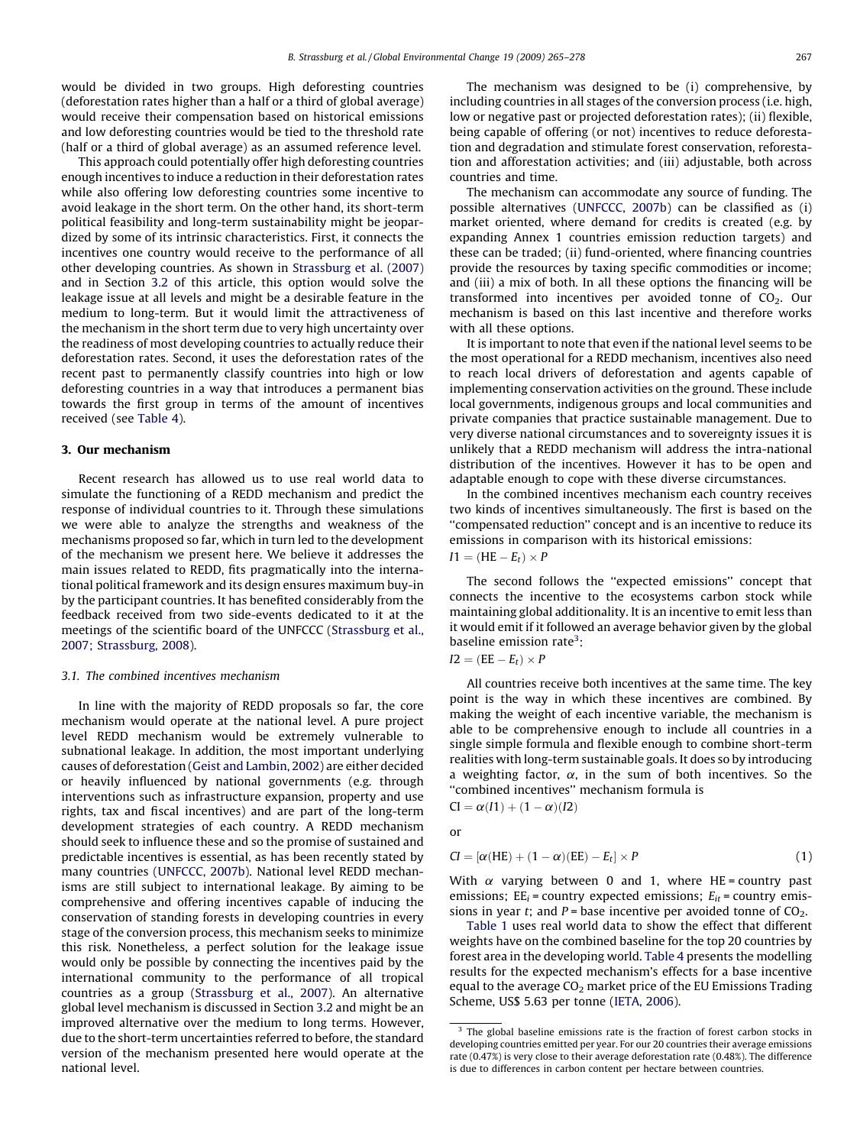<span id="page-2-0"></span>would be divided in two groups. High deforesting countries (deforestation rates higher than a half or a third of global average) would receive their compensation based on historical emissions and low deforesting countries would be tied to the threshold rate (half or a third of global average) as an assumed reference level.

This approach could potentially offer high deforesting countries enough incentives to induce a reduction in their deforestation rates while also offering low deforesting countries some incentive to avoid leakage in the short term. On the other hand, its short-term political feasibility and long-term sustainability might be jeopardized by some of its intrinsic characteristics. First, it connects the incentives one country would receive to the performance of all other developing countries. As shown in [Strassburg et al. \(2007\)](#page-13-0) and in Section [3.2](#page-3-0) of this article, this option would solve the leakage issue at all levels and might be a desirable feature in the medium to long-term. But it would limit the attractiveness of the mechanism in the short term due to very high uncertainty over the readiness of most developing countries to actually reduce their deforestation rates. Second, it uses the deforestation rates of the recent past to permanently classify countries into high or low deforesting countries in a way that introduces a permanent bias towards the first group in terms of the amount of incentives received (see [Table 4\)](#page-7-0).

# 3. Our mechanism

Recent research has allowed us to use real world data to simulate the functioning of a REDD mechanism and predict the response of individual countries to it. Through these simulations we were able to analyze the strengths and weakness of the mechanisms proposed so far, which in turn led to the development of the mechanism we present here. We believe it addresses the main issues related to REDD, fits pragmatically into the international political framework and its design ensures maximum buy-in by the participant countries. It has benefited considerably from the feedback received from two side-events dedicated to it at the meetings of the scientific board of the UNFCCC ([Strassburg et al.,](#page-13-0) [2007; Strassburg, 2008](#page-13-0)).

## 3.1. The combined incentives mechanism

In line with the majority of REDD proposals so far, the core mechanism would operate at the national level. A pure project level REDD mechanism would be extremely vulnerable to subnational leakage. In addition, the most important underlying causes of deforestation [\(Geist and Lambin, 2002](#page-12-0)) are either decided or heavily influenced by national governments (e.g. through interventions such as infrastructure expansion, property and use rights, tax and fiscal incentives) and are part of the long-term development strategies of each country. A REDD mechanism should seek to influence these and so the promise of sustained and predictable incentives is essential, as has been recently stated by many countries [\(UNFCCC, 2007b\)](#page-13-0). National level REDD mechanisms are still subject to international leakage. By aiming to be comprehensive and offering incentives capable of inducing the conservation of standing forests in developing countries in every stage of the conversion process, this mechanism seeks to minimize this risk. Nonetheless, a perfect solution for the leakage issue would only be possible by connecting the incentives paid by the international community to the performance of all tropical countries as a group [\(Strassburg et al., 2007](#page-13-0)). An alternative global level mechanism is discussed in Section [3.2](#page-3-0) and might be an improved alternative over the medium to long terms. However, due to the short-term uncertainties referred to before, the standard version of the mechanism presented here would operate at the national level.

The mechanism was designed to be (i) comprehensive, by including countries in all stages of the conversion process (i.e. high, low or negative past or projected deforestation rates); (ii) flexible, being capable of offering (or not) incentives to reduce deforestation and degradation and stimulate forest conservation, reforestation and afforestation activities; and (iii) adjustable, both across countries and time.

The mechanism can accommodate any source of funding. The possible alternatives [\(UNFCCC, 2007b\)](#page-13-0) can be classified as (i) market oriented, where demand for credits is created (e.g. by expanding Annex 1 countries emission reduction targets) and these can be traded; (ii) fund-oriented, where financing countries provide the resources by taxing specific commodities or income; and (iii) a mix of both. In all these options the financing will be transformed into incentives per avoided tonne of  $CO<sub>2</sub>$ . Our mechanism is based on this last incentive and therefore works with all these options.

It is important to note that even if the national level seems to be the most operational for a REDD mechanism, incentives also need to reach local drivers of deforestation and agents capable of implementing conservation activities on the ground. These include local governments, indigenous groups and local communities and private companies that practice sustainable management. Due to very diverse national circumstances and to sovereignty issues it is unlikely that a REDD mechanism will address the intra-national distribution of the incentives. However it has to be open and adaptable enough to cope with these diverse circumstances.

In the combined incentives mechanism each country receives two kinds of incentives simultaneously. The first is based on the ''compensated reduction'' concept and is an incentive to reduce its emissions in comparison with its historical emissions:

$$
I1 = (HE - E_t) \times P
$$

The second follows the ''expected emissions'' concept that connects the incentive to the ecosystems carbon stock while maintaining global additionality. It is an incentive to emit less than it would emit if it followed an average behavior given by the global baseline emission rate<sup>3</sup>:

 $I2 = (EE - E_t) \times P$ 

All countries receive both incentives at the same time. The key point is the way in which these incentives are combined. By making the weight of each incentive variable, the mechanism is able to be comprehensive enough to include all countries in a single simple formula and flexible enough to combine short-term realities with long-term sustainable goals. It does so by introducing a weighting factor,  $\alpha$ , in the sum of both incentives. So the ''combined incentives'' mechanism formula is

 $CI = \alpha(I1) + (1-\alpha)(I2)$ or

$$
CI = [\alpha(HE) + (1 - \alpha)(EE) - E_t] \times P \tag{1}
$$

With  $\alpha$  varying between 0 and 1, where HE = country past emissions;  $EE_i$  = country expected emissions;  $E_{it}$  = country emissions in year t; and  $P$  = base incentive per avoided tonne of CO<sub>2</sub>.

[Table 1](#page-3-0) uses real world data to show the effect that different weights have on the combined baseline for the top 20 countries by forest area in the developing world. [Table 4](#page-7-0) presents the modelling results for the expected mechanism's effects for a base incentive equal to the average  $CO<sub>2</sub>$  market price of the EU Emissions Trading Scheme, US\$ 5.63 per tonne ([IETA, 2006\)](#page-12-0).

The global baseline emissions rate is the fraction of forest carbon stocks in developing countries emitted per year. For our 20 countries their average emissions rate (0.47%) is very close to their average deforestation rate (0.48%). The difference is due to differences in carbon content per hectare between countries.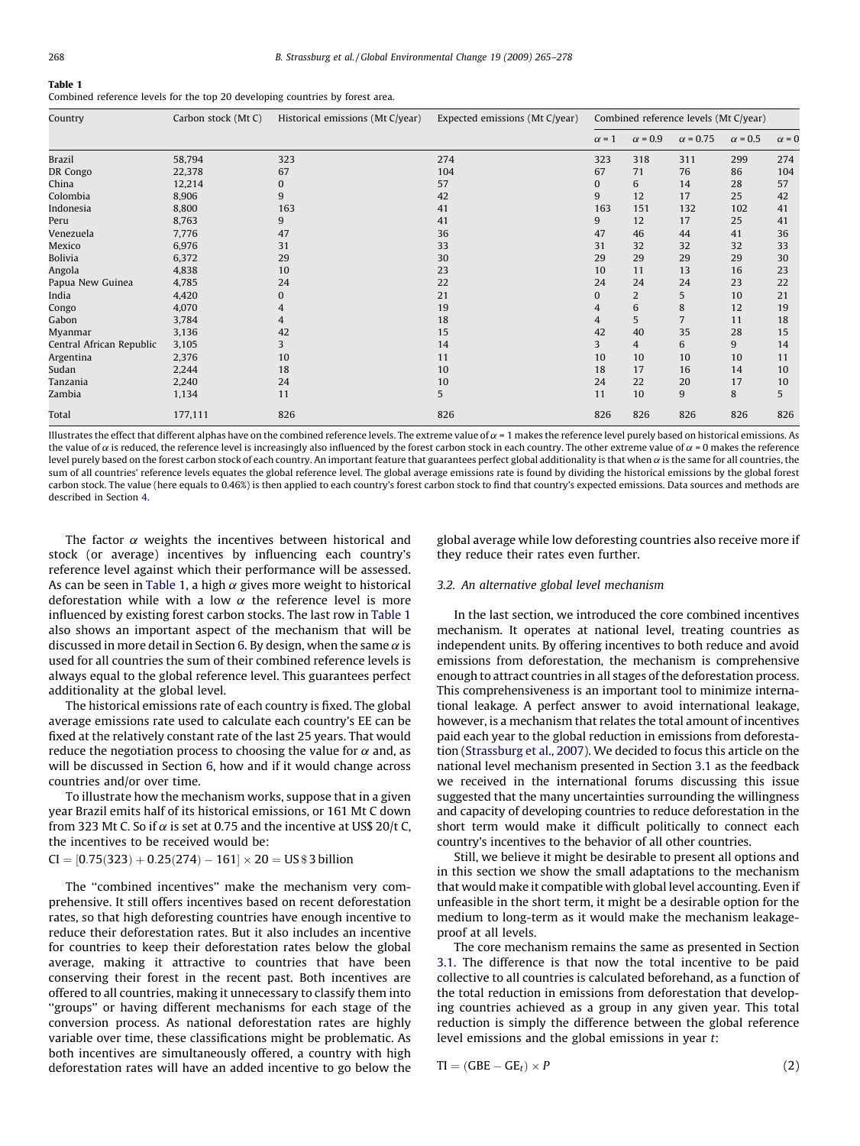<span id="page-3-0"></span>

| $\sim$ |  |
|--------|--|
|        |  |

Combined reference levels for the top 20 developing countries by forest area.

| Country                  | Carbon stock (Mt C) | Historical emissions (Mt C/year) | Expected emissions (Mt C/year) | Combined reference levels (Mt C/year) |                |                 |                |              |
|--------------------------|---------------------|----------------------------------|--------------------------------|---------------------------------------|----------------|-----------------|----------------|--------------|
|                          |                     |                                  |                                | $\alpha = 1$                          | $\alpha$ = 0.9 | $\alpha$ = 0.75 | $\alpha$ = 0.5 | $\alpha = 0$ |
| Brazil                   | 58,794              | 323                              | 274                            | 323                                   | 318            | 311             | 299            | 274          |
| DR Congo                 | 22,378              | 67                               | 104                            | 67                                    | 71             | 76              | 86             | 104          |
| China                    | 12,214              | $\mathbf{0}$                     | 57                             | $\Omega$                              | 6              | 14              | 28             | 57           |
| Colombia                 | 8,906               | 9                                | 42                             | 9                                     | 12             | 17              | 25             | 42           |
| Indonesia                | 8,800               | 163                              | 41                             | 163                                   | 151            | 132             | 102            | 41           |
| Peru                     | 8,763               | 9                                | 41                             | 9                                     | 12             | 17              | 25             | 41           |
| Venezuela                | 7,776               | 47                               | 36                             | 47                                    | 46             | 44              | 41             | 36           |
| Mexico                   | 6,976               | 31                               | 33                             | 31                                    | 32             | 32              | 32             | 33           |
| Bolivia                  | 6,372               | 29                               | 30                             | 29                                    | 29             | 29              | 29             | 30           |
| Angola                   | 4,838               | 10                               | 23                             | 10                                    | 11             | 13              | 16             | 23           |
| Papua New Guinea         | 4,785               | 24                               | 22                             | 24                                    | 24             | 24              | 23             | 22           |
| India                    | 4,420               | 0                                | 21                             | $\Omega$                              | 2              | 5               | 10             | 21           |
| Congo                    | 4,070               | 4                                | 19                             | 4                                     | 6              | 8               | 12             | 19           |
| Gabon                    | 3,784               | 4                                | 18                             | 4                                     | 5              |                 | 11             | 18           |
| Myanmar                  | 3,136               | 42                               | 15                             | 42                                    | 40             | 35              | 28             | 15           |
| Central African Republic | 3,105               | 3                                | 14                             | 3                                     | 4              | 6               | 9              | 14           |
| Argentina                | 2,376               | 10                               | 11                             | 10                                    | 10             | 10              | 10             | 11           |
| Sudan                    | 2,244               | 18                               | 10                             | 18                                    | 17             | 16              | 14             | 10           |
| Tanzania                 | 2,240               | 24                               | 10                             | 24                                    | 22             | 20              | 17             | 10           |
| Zambia                   | 1,134               | 11                               | 5                              | 11                                    | 10             | 9               | 8              | 5            |
| Total                    | 177,111             | 826                              | 826                            | 826                                   | 826            | 826             | 826            | 826          |

Illustrates the effect that different alphas have on the combined reference levels. The extreme value of  $\alpha$  = 1 makes the reference level purely based on historical emissions. As the value of  $\alpha$  is reduced, the reference level is increasingly also influenced by the forest carbon stock in each country. The other extreme value of  $\alpha$  = 0 makes the reference level purely based on the forest carbon stock of each country. An important feature that guarantees perfect global additionality is that when  $\alpha$  is the same for all countries, the sum of all countries' reference levels equates the global reference level. The global average emissions rate is found by dividing the historical emissions by the global forest carbon stock. The value (here equals to 0.46%) is then applied to each country's forest carbon stock to find that country's expected emissions. Data sources and methods are described in Section [4.](#page-4-0)

The factor  $\alpha$  weights the incentives between historical and stock (or average) incentives by influencing each country's reference level against which their performance will be assessed. As can be seen in Table 1, a high  $\alpha$  gives more weight to historical deforestation while with a low  $\alpha$  the reference level is more influenced by existing forest carbon stocks. The last row in Table 1 also shows an important aspect of the mechanism that will be discussed in more detail in Section [6](#page-8-0). By design, when the same  $\alpha$  is used for all countries the sum of their combined reference levels is always equal to the global reference level. This guarantees perfect additionality at the global level.

The historical emissions rate of each country is fixed. The global average emissions rate used to calculate each country's EE can be fixed at the relatively constant rate of the last 25 years. That would reduce the negotiation process to choosing the value for  $\alpha$  and, as will be discussed in Section [6,](#page-8-0) how and if it would change across countries and/or over time.

To illustrate how the mechanism works, suppose that in a given year Brazil emits half of its historical emissions, or 161 Mt C down from 323 Mt C. So if  $\alpha$  is set at 0.75 and the incentive at US\$ 20/t C, the incentives to be received would be:

 $CI = [0.75(323) + 0.25(274) - 161] \times 20 = US $3 billion$ 

The "combined incentives" make the mechanism very comprehensive. It still offers incentives based on recent deforestation rates, so that high deforesting countries have enough incentive to reduce their deforestation rates. But it also includes an incentive for countries to keep their deforestation rates below the global average, making it attractive to countries that have been conserving their forest in the recent past. Both incentives are offered to all countries, making it unnecessary to classify them into "groups" or having different mechanisms for each stage of the conversion process. As national deforestation rates are highly variable over time, these classifications might be problematic. As both incentives are simultaneously offered, a country with high deforestation rates will have an added incentive to go below the global average while low deforesting countries also receive more if they reduce their rates even further.

# 3.2. An alternative global level mechanism

In the last section, we introduced the core combined incentives mechanism. It operates at national level, treating countries as independent units. By offering incentives to both reduce and avoid emissions from deforestation, the mechanism is comprehensive enough to attract countries in all stages of the deforestation process. This comprehensiveness is an important tool to minimize international leakage. A perfect answer to avoid international leakage, however, is a mechanism that relates the total amount of incentives paid each year to the global reduction in emissions from deforestation ([Strassburg et al., 2007\)](#page-13-0). We decided to focus this article on the national level mechanism presented in Section [3.1](#page-2-0) as the feedback we received in the international forums discussing this issue suggested that the many uncertainties surrounding the willingness and capacity of developing countries to reduce deforestation in the short term would make it difficult politically to connect each country's incentives to the behavior of all other countries.

Still, we believe it might be desirable to present all options and in this section we show the small adaptations to the mechanism that would make it compatible with global level accounting. Even if unfeasible in the short term, it might be a desirable option for the medium to long-term as it would make the mechanism leakageproof at all levels.

The core mechanism remains the same as presented in Section [3.1](#page-2-0). The difference is that now the total incentive to be paid collective to all countries is calculated beforehand, as a function of the total reduction in emissions from deforestation that developing countries achieved as a group in any given year. This total reduction is simply the difference between the global reference level emissions and the global emissions in year t:

$$
TI = (GBE - GEt) \times P
$$
 (2)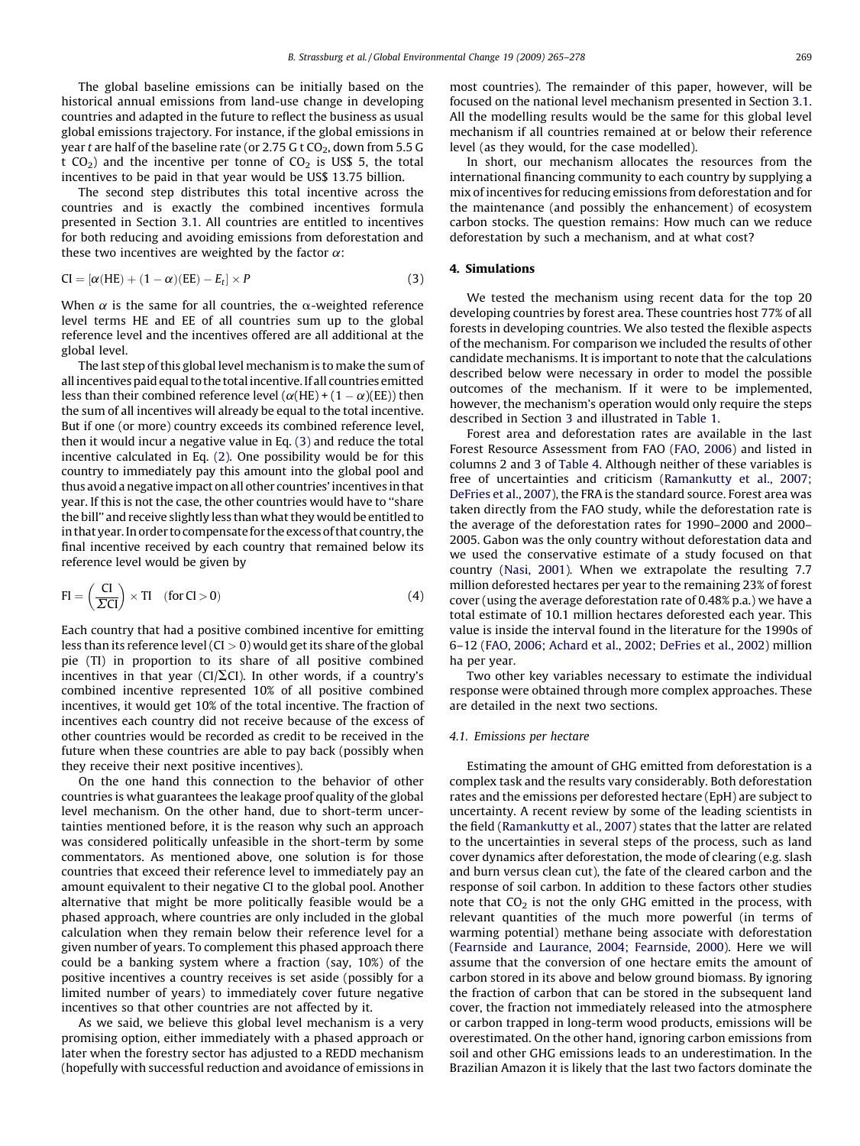<span id="page-4-0"></span>The global baseline emissions can be initially based on the historical annual emissions from land-use change in developing countries and adapted in the future to reflect the business as usual global emissions trajectory. For instance, if the global emissions in year t are half of the baseline rate (or 2.75 G t  $CO<sub>2</sub>$ , down from 5.5 G t  $CO<sub>2</sub>$ ) and the incentive per tonne of  $CO<sub>2</sub>$  is US\$ 5, the total incentives to be paid in that year would be US\$ 13.75 billion.

The second step distributes this total incentive across the countries and is exactly the combined incentives formula presented in Section [3.1](#page-2-0). All countries are entitled to incentives for both reducing and avoiding emissions from deforestation and these two incentives are weighted by the factor  $\alpha$ :

$$
CI = [\alpha(HE) + (1 - \alpha)(EE) - E_t] \times P \tag{3}
$$

When  $\alpha$  is the same for all countries, the  $\alpha$ -weighted reference level terms HE and EE of all countries sum up to the global reference level and the incentives offered are all additional at the global level.

The last step of this global level mechanism is to make the sum of all incentives paid equal to the total incentive. If all countries emitted less than their combined reference level ( $\alpha$ (HE) + (1 –  $\alpha$ )(EE)) then the sum of all incentives will already be equal to the total incentive. But if one (or more) country exceeds its combined reference level, then it would incur a negative value in Eq. (3) and reduce the total incentive calculated in Eq. [\(2\).](#page-3-0) One possibility would be for this country to immediately pay this amount into the global pool and thus avoid a negative impact on all other countries' incentives in that year. If this is not the case, the other countries would have to ''share the bill'' and receive slightly less than what they would be entitled to in that year. In order to compensate for the excess of that country, the final incentive received by each country that remained below its reference level would be given by

$$
FI = \left(\frac{CI}{\sum CI}\right) \times TI \quad (for CI > 0)
$$
\n(4)

Each country that had a positive combined incentive for emitting less than its reference level ( $CI > 0$ ) would get its share of the global pie (TI) in proportion to its share of all positive combined incentives in that year (CI/ $\Sigma$ CI). In other words, if a country's combined incentive represented 10% of all positive combined incentives, it would get 10% of the total incentive. The fraction of incentives each country did not receive because of the excess of other countries would be recorded as credit to be received in the future when these countries are able to pay back (possibly when they receive their next positive incentives).

On the one hand this connection to the behavior of other countries is what guarantees the leakage proof quality of the global level mechanism. On the other hand, due to short-term uncertainties mentioned before, it is the reason why such an approach was considered politically unfeasible in the short-term by some commentators. As mentioned above, one solution is for those countries that exceed their reference level to immediately pay an amount equivalent to their negative CI to the global pool. Another alternative that might be more politically feasible would be a phased approach, where countries are only included in the global calculation when they remain below their reference level for a given number of years. To complement this phased approach there could be a banking system where a fraction (say, 10%) of the positive incentives a country receives is set aside (possibly for a limited number of years) to immediately cover future negative incentives so that other countries are not affected by it.

As we said, we believe this global level mechanism is a very promising option, either immediately with a phased approach or later when the forestry sector has adjusted to a REDD mechanism (hopefully with successful reduction and avoidance of emissions in most countries). The remainder of this paper, however, will be focused on the national level mechanism presented in Section [3.1.](#page-2-0) All the modelling results would be the same for this global level mechanism if all countries remained at or below their reference level (as they would, for the case modelled).

In short, our mechanism allocates the resources from the international financing community to each country by supplying a mix of incentives for reducing emissions from deforestation and for the maintenance (and possibly the enhancement) of ecosystem carbon stocks. The question remains: How much can we reduce deforestation by such a mechanism, and at what cost?

# 4. Simulations

We tested the mechanism using recent data for the top 20 developing countries by forest area. These countries host 77% of all forests in developing countries. We also tested the flexible aspects of the mechanism. For comparison we included the results of other candidate mechanisms. It is important to note that the calculations described below were necessary in order to model the possible outcomes of the mechanism. If it were to be implemented, however, the mechanism's operation would only require the steps described in Section [3](#page-2-0) and illustrated in [Table 1](#page-3-0).

Forest area and deforestation rates are available in the last Forest Resource Assessment from FAO [\(FAO, 2006](#page-12-0)) and listed in columns 2 and 3 of [Table 4](#page-7-0). Although neither of these variables is free of uncertainties and criticism [\(Ramankutty et al., 2007;](#page-12-0) [DeFries et al., 2007\)](#page-12-0), the FRA is the standard source. Forest area was taken directly from the FAO study, while the deforestation rate is the average of the deforestation rates for 1990–2000 and 2000– 2005. Gabon was the only country without deforestation data and we used the conservative estimate of a study focused on that country [\(Nasi, 2001\)](#page-12-0). When we extrapolate the resulting 7.7 million deforested hectares per year to the remaining 23% of forest cover (using the average deforestation rate of 0.48% p.a.) we have a total estimate of 10.1 million hectares deforested each year. This value is inside the interval found in the literature for the 1990s of 6–12 [\(FAO, 2006; Achard et al., 2002; DeFries et al., 2002\)](#page-12-0) million ha per year.

Two other key variables necessary to estimate the individual response were obtained through more complex approaches. These are detailed in the next two sections.

# 4.1. Emissions per hectare

Estimating the amount of GHG emitted from deforestation is a complex task and the results vary considerably. Both deforestation rates and the emissions per deforested hectare (EpH) are subject to uncertainty. A recent review by some of the leading scientists in the field ([Ramankutty et al., 2007\)](#page-12-0) states that the latter are related to the uncertainties in several steps of the process, such as land cover dynamics after deforestation, the mode of clearing (e.g. slash and burn versus clean cut), the fate of the cleared carbon and the response of soil carbon. In addition to these factors other studies note that  $CO<sub>2</sub>$  is not the only GHG emitted in the process, with relevant quantities of the much more powerful (in terms of warming potential) methane being associate with deforestation ([Fearnside and Laurance, 2004; Fearnside, 2000](#page-12-0)). Here we will assume that the conversion of one hectare emits the amount of carbon stored in its above and below ground biomass. By ignoring the fraction of carbon that can be stored in the subsequent land cover, the fraction not immediately released into the atmosphere or carbon trapped in long-term wood products, emissions will be overestimated. On the other hand, ignoring carbon emissions from soil and other GHG emissions leads to an underestimation. In the Brazilian Amazon it is likely that the last two factors dominate the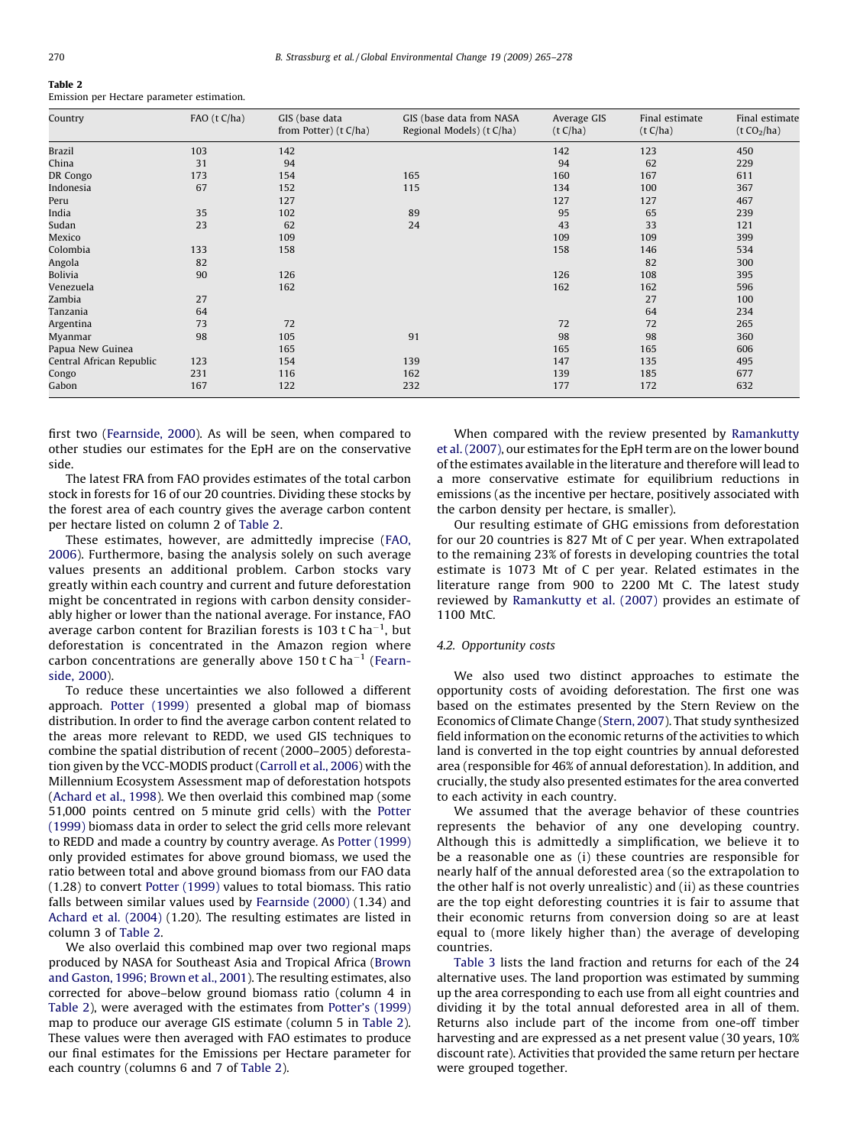# <span id="page-5-0"></span>Table 2

Emission per Hectare parameter estimation.

| Country                  | FAO(tC/ha) | GIS (base data<br>from Potter) (t C/ha) | GIS (base data from NASA<br>Regional Models) (t C/ha) | Average GIS<br>(t C/ha) | Final estimate<br>(t C/ha) | Final estimate<br>(t CO <sub>2</sub> /ha) |
|--------------------------|------------|-----------------------------------------|-------------------------------------------------------|-------------------------|----------------------------|-------------------------------------------|
| <b>Brazil</b>            | 103        | 142                                     |                                                       | 142                     | 123                        | 450                                       |
| China                    | 31         | 94                                      |                                                       | 94                      | 62                         | 229                                       |
| DR Congo                 | 173        | 154                                     | 165                                                   | 160                     | 167                        | 611                                       |
| Indonesia                | 67         | 152                                     | 115                                                   | 134                     | 100                        | 367                                       |
| Peru                     |            | 127                                     |                                                       | 127                     | 127                        | 467                                       |
| India                    | 35         | 102                                     | 89                                                    | 95                      | 65                         | 239                                       |
| Sudan                    | 23         | 62                                      | 24                                                    | 43                      | 33                         | 121                                       |
| Mexico                   |            | 109                                     |                                                       | 109                     | 109                        | 399                                       |
| Colombia                 | 133        | 158                                     |                                                       | 158                     | 146                        | 534                                       |
| Angola                   | 82         |                                         |                                                       |                         | 82                         | 300                                       |
| <b>Bolivia</b>           | 90         | 126                                     |                                                       | 126                     | 108                        | 395                                       |
| Venezuela                |            | 162                                     |                                                       | 162                     | 162                        | 596                                       |
| Zambia                   | 27         |                                         |                                                       |                         | 27                         | 100                                       |
| Tanzania                 | 64         |                                         |                                                       |                         | 64                         | 234                                       |
| Argentina                | 73         | 72                                      |                                                       | 72                      | 72                         | 265                                       |
| Myanmar                  | 98         | 105                                     | 91                                                    | 98                      | 98                         | 360                                       |
| Papua New Guinea         |            | 165                                     |                                                       | 165                     | 165                        | 606                                       |
| Central African Republic | 123        | 154                                     | 139                                                   | 147                     | 135                        | 495                                       |
| Congo                    | 231        | 116                                     | 162                                                   | 139                     | 185                        | 677                                       |
| Gabon                    | 167        | 122                                     | 232                                                   | 177                     | 172                        | 632                                       |

first two [\(Fearnside, 2000](#page-12-0)). As will be seen, when compared to other studies our estimates for the EpH are on the conservative side.

The latest FRA from FAO provides estimates of the total carbon stock in forests for 16 of our 20 countries. Dividing these stocks by the forest area of each country gives the average carbon content per hectare listed on column 2 of Table 2.

These estimates, however, are admittedly imprecise ([FAO,](#page-12-0) [2006](#page-12-0)). Furthermore, basing the analysis solely on such average values presents an additional problem. Carbon stocks vary greatly within each country and current and future deforestation might be concentrated in regions with carbon density considerably higher or lower than the national average. For instance, FAO average carbon content for Brazilian forests is 103 t C ha $^{-1}$ , but deforestation is concentrated in the Amazon region where carbon concentrations are generally above 150 t C ha<sup>-1</sup> ([Fearn](#page-12-0)[side, 2000\)](#page-12-0).

To reduce these uncertainties we also followed a different approach. [Potter \(1999\)](#page-12-0) presented a global map of biomass distribution. In order to find the average carbon content related to the areas more relevant to REDD, we used GIS techniques to combine the spatial distribution of recent (2000–2005) deforestation given by the VCC-MODIS product [\(Carroll et al., 2006](#page-12-0)) with the Millennium Ecosystem Assessment map of deforestation hotspots ([Achard et al., 1998\)](#page-12-0). We then overlaid this combined map (some 51,000 points centred on 5 minute grid cells) with the [Potter](#page-12-0) [\(1999\)](#page-12-0) biomass data in order to select the grid cells more relevant to REDD and made a country by country average. As [Potter \(1999\)](#page-12-0) only provided estimates for above ground biomass, we used the ratio between total and above ground biomass from our FAO data (1.28) to convert [Potter \(1999\)](#page-12-0) values to total biomass. This ratio falls between similar values used by [Fearnside \(2000\)](#page-12-0) (1.34) and [Achard et al. \(2004\)](#page-12-0) (1.20). The resulting estimates are listed in column 3 of Table 2.

We also overlaid this combined map over two regional maps produced by NASA for Southeast Asia and Tropical Africa ([Brown](#page-12-0) [and Gaston, 1996; Brown et al., 2001](#page-12-0)). The resulting estimates, also corrected for above–below ground biomass ratio (column 4 in Table 2), were averaged with the estimates from [Potter's \(1999\)](#page-12-0) map to produce our average GIS estimate (column 5 in Table 2). These values were then averaged with FAO estimates to produce our final estimates for the Emissions per Hectare parameter for each country (columns 6 and 7 of Table 2).

When compared with the review presented by [Ramankutty](#page-12-0) [et al. \(2007\)](#page-12-0), our estimates for the EpH term are on the lower bound of the estimates available in the literature and therefore will lead to a more conservative estimate for equilibrium reductions in emissions (as the incentive per hectare, positively associated with the carbon density per hectare, is smaller).

Our resulting estimate of GHG emissions from deforestation for our 20 countries is 827 Mt of C per year. When extrapolated to the remaining 23% of forests in developing countries the total estimate is 1073 Mt of C per year. Related estimates in the literature range from 900 to 2200 Mt C. The latest study reviewed by [Ramankutty et al. \(2007\)](#page-12-0) provides an estimate of 1100 MtC.

# 4.2. Opportunity costs

We also used two distinct approaches to estimate the opportunity costs of avoiding deforestation. The first one was based on the estimates presented by the Stern Review on the Economics of Climate Change ([Stern, 2007](#page-13-0)). That study synthesized field information on the economic returns of the activities to which land is converted in the top eight countries by annual deforested area (responsible for 46% of annual deforestation). In addition, and crucially, the study also presented estimates for the area converted to each activity in each country.

We assumed that the average behavior of these countries represents the behavior of any one developing country. Although this is admittedly a simplification, we believe it to be a reasonable one as (i) these countries are responsible for nearly half of the annual deforested area (so the extrapolation to the other half is not overly unrealistic) and (ii) as these countries are the top eight deforesting countries it is fair to assume that their economic returns from conversion doing so are at least equal to (more likely higher than) the average of developing countries.

[Table 3](#page-6-0) lists the land fraction and returns for each of the 24 alternative uses. The land proportion was estimated by summing up the area corresponding to each use from all eight countries and dividing it by the total annual deforested area in all of them. Returns also include part of the income from one-off timber harvesting and are expressed as a net present value (30 years, 10% discount rate). Activities that provided the same return per hectare were grouped together.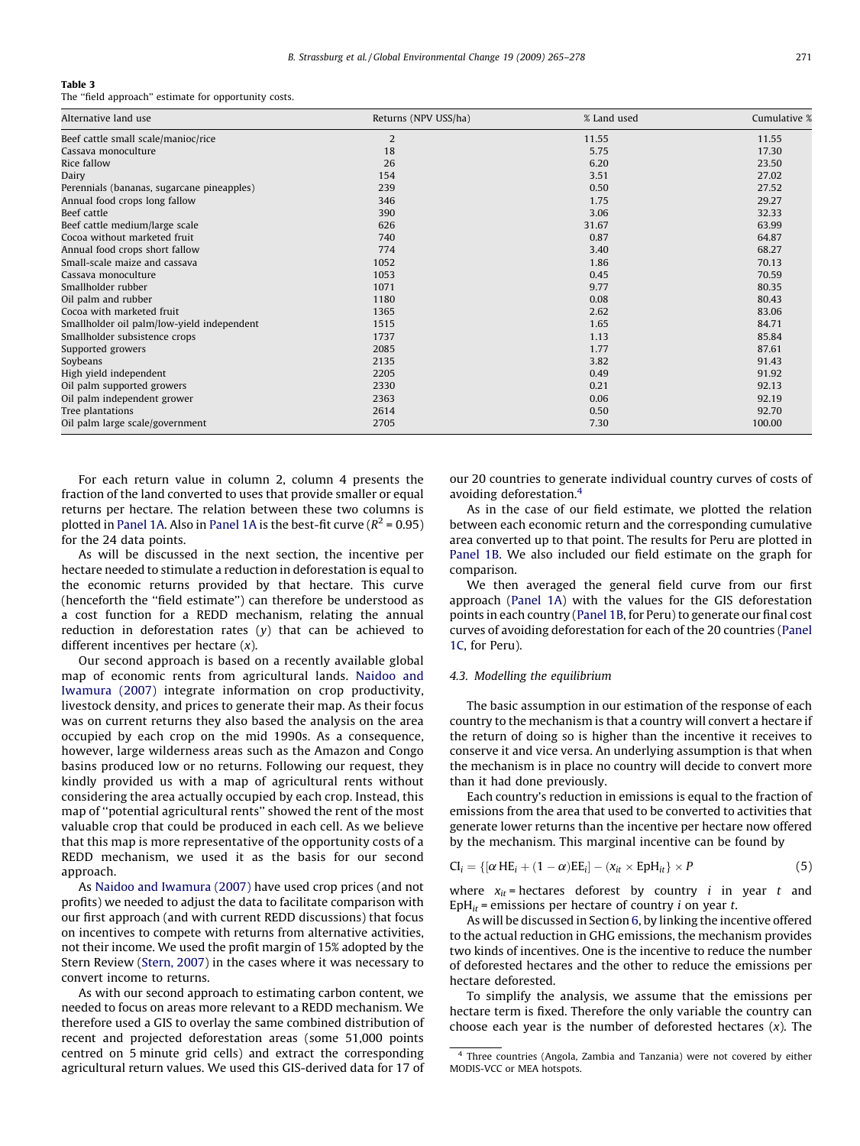### <span id="page-6-0"></span>Table 3

The "field approach" estimate for opportunity costs.

| Alternative land use                       | Returns (NPV USS/ha) | % Land used | Cumulative % |
|--------------------------------------------|----------------------|-------------|--------------|
| Beef cattle small scale/manioc/rice        | $\overline{2}$       | 11.55       | 11.55        |
| Cassava monoculture                        | 18                   | 5.75        | 17.30        |
| Rice fallow                                | 26                   | 6.20        | 23.50        |
| Dairy                                      | 154                  | 3.51        | 27.02        |
| Perennials (bananas, sugarcane pineapples) | 239                  | 0.50        | 27.52        |
| Annual food crops long fallow              | 346                  | 1.75        | 29.27        |
| Beef cattle                                | 390                  | 3.06        | 32.33        |
| Beef cattle medium/large scale             | 626                  | 31.67       | 63.99        |
| Cocoa without marketed fruit               | 740                  | 0.87        | 64.87        |
| Annual food crops short fallow             | 774                  | 3.40        | 68.27        |
| Small-scale maize and cassava              | 1052                 | 1.86        | 70.13        |
| Cassava monoculture                        | 1053                 | 0.45        | 70.59        |
| Smallholder rubber                         | 1071                 | 9.77        | 80.35        |
| Oil palm and rubber                        | 1180                 | 0.08        | 80.43        |
| Cocoa with marketed fruit                  | 1365                 | 2.62        | 83.06        |
| Smallholder oil palm/low-yield independent | 1515                 | 1.65        | 84.71        |
| Smallholder subsistence crops              | 1737                 | 1.13        | 85.84        |
| Supported growers                          | 2085                 | 1.77        | 87.61        |
| Soybeans                                   | 2135                 | 3.82        | 91.43        |
| High yield independent                     | 2205                 | 0.49        | 91.92        |
| Oil palm supported growers                 | 2330                 | 0.21        | 92.13        |
| Oil palm independent grower                | 2363                 | 0.06        | 92.19        |
| Tree plantations                           | 2614                 | 0.50        | 92.70        |
| Oil palm large scale/government            | 2705                 | 7.30        | 100.00       |

For each return value in column 2, column 4 presents the fraction of the land converted to uses that provide smaller or equal returns per hectare. The relation between these two columns is plotted in [Panel 1A.](#page-10-0) Also in [Panel 1A](#page-10-0) is the best-fit curve ( $R^2$  = 0.95) for the 24 data points.

As will be discussed in the next section, the incentive per hectare needed to stimulate a reduction in deforestation is equal to the economic returns provided by that hectare. This curve (henceforth the ''field estimate'') can therefore be understood as a cost function for a REDD mechanism, relating the annual reduction in deforestation rates  $(y)$  that can be achieved to different incentives per hectare  $(x)$ .

Our second approach is based on a recently available global map of economic rents from agricultural lands. [Naidoo and](#page-12-0) [Iwamura \(2007\)](#page-12-0) integrate information on crop productivity, livestock density, and prices to generate their map. As their focus was on current returns they also based the analysis on the area occupied by each crop on the mid 1990s. As a consequence, however, large wilderness areas such as the Amazon and Congo basins produced low or no returns. Following our request, they kindly provided us with a map of agricultural rents without considering the area actually occupied by each crop. Instead, this map of ''potential agricultural rents'' showed the rent of the most valuable crop that could be produced in each cell. As we believe that this map is more representative of the opportunity costs of a REDD mechanism, we used it as the basis for our second approach.

As [Naidoo and Iwamura \(2007\)](#page-12-0) have used crop prices (and not profits) we needed to adjust the data to facilitate comparison with our first approach (and with current REDD discussions) that focus on incentives to compete with returns from alternative activities, not their income. We used the profit margin of 15% adopted by the Stern Review [\(Stern, 2007\)](#page-13-0) in the cases where it was necessary to convert income to returns.

As with our second approach to estimating carbon content, we needed to focus on areas more relevant to a REDD mechanism. We therefore used a GIS to overlay the same combined distribution of recent and projected deforestation areas (some 51,000 points centred on 5 minute grid cells) and extract the corresponding agricultural return values. We used this GIS-derived data for 17 of our 20 countries to generate individual country curves of costs of avoiding deforestation.4

As in the case of our field estimate, we plotted the relation between each economic return and the corresponding cumulative area converted up to that point. The results for Peru are plotted in [Panel 1B.](#page-10-0) We also included our field estimate on the graph for comparison.

We then averaged the general field curve from our first approach [\(Panel 1A](#page-10-0)) with the values for the GIS deforestation points in each country ([Panel 1B,](#page-10-0) for Peru) to generate our final cost curves of avoiding deforestation for each of the 20 countries ([Panel](#page-10-0) [1C](#page-10-0), for Peru).

# 4.3. Modelling the equilibrium

The basic assumption in our estimation of the response of each country to the mechanism is that a country will convert a hectare if the return of doing so is higher than the incentive it receives to conserve it and vice versa. An underlying assumption is that when the mechanism is in place no country will decide to convert more than it had done previously.

Each country's reduction in emissions is equal to the fraction of emissions from the area that used to be converted to activities that generate lower returns than the incentive per hectare now offered by the mechanism. This marginal incentive can be found by

$$
CI_i = \{ [\alpha HE_i + (1 - \alpha)EE_i] - (x_{it} \times EpH_{it}] \times P \tag{5}
$$

where  $x_{it}$  = hectares deforest by country *i* in year *t* and  $EpH_{it}$  = emissions per hectare of country *i* on year *t*.

As will be discussed in Section [6](#page-8-0), by linking the incentive offered to the actual reduction in GHG emissions, the mechanism provides two kinds of incentives. One is the incentive to reduce the number of deforested hectares and the other to reduce the emissions per hectare deforested.

To simplify the analysis, we assume that the emissions per hectare term is fixed. Therefore the only variable the country can choose each year is the number of deforested hectares  $(x)$ . The

<sup>4</sup> Three countries (Angola, Zambia and Tanzania) were not covered by either MODIS-VCC or MEA hotspots.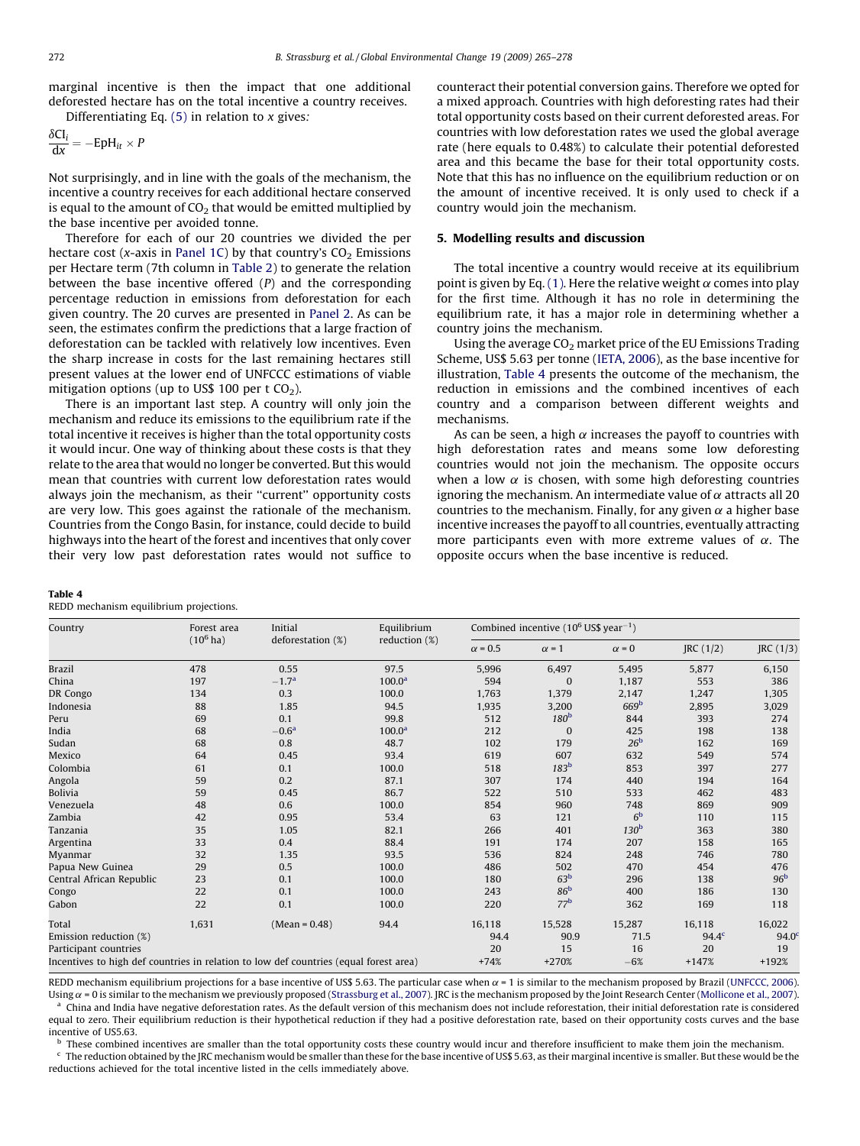<span id="page-7-0"></span>marginal incentive is then the impact that one additional deforested hectare has on the total incentive a country receives.

Differentiating Eq.  $(5)$  in relation to x gives:

$$
\frac{\delta CI_i}{dx} = -EpH_{it} \times P
$$

Not surprisingly, and in line with the goals of the mechanism, the incentive a country receives for each additional hectare conserved is equal to the amount of  $CO<sub>2</sub>$  that would be emitted multiplied by the base incentive per avoided tonne.

Therefore for each of our 20 countries we divided the per hectare cost (x-axis in [Panel 1C](#page-10-0)) by that country's  $CO<sub>2</sub>$  Emissions per Hectare term (7th column in [Table 2\)](#page-5-0) to generate the relation between the base incentive offered  $(P)$  and the corresponding percentage reduction in emissions from deforestation for each given country. The 20 curves are presented in [Panel 2.](#page-11-0) As can be seen, the estimates confirm the predictions that a large fraction of deforestation can be tackled with relatively low incentives. Even the sharp increase in costs for the last remaining hectares still present values at the lower end of UNFCCC estimations of viable mitigation options (up to US\$ 100 per t  $CO<sub>2</sub>$ ).

There is an important last step. A country will only join the mechanism and reduce its emissions to the equilibrium rate if the total incentive it receives is higher than the total opportunity costs it would incur. One way of thinking about these costs is that they relate to the area that would no longer be converted. But this would mean that countries with current low deforestation rates would always join the mechanism, as their "current" opportunity costs are very low. This goes against the rationale of the mechanism. Countries from the Congo Basin, for instance, could decide to build highways into the heart of the forest and incentives that only cover their very low past deforestation rates would not suffice to

#### Table 4

REDD mechanism equilibrium projections.

counteract their potential conversion gains. Therefore we opted for a mixed approach. Countries with high deforesting rates had their total opportunity costs based on their current deforested areas. For countries with low deforestation rates we used the global average rate (here equals to 0.48%) to calculate their potential deforested area and this became the base for their total opportunity costs. Note that this has no influence on the equilibrium reduction or on the amount of incentive received. It is only used to check if a country would join the mechanism.

# 5. Modelling results and discussion

The total incentive a country would receive at its equilibrium point is given by Eq. [\(1\)](#page-2-0). Here the relative weight  $\alpha$  comes into play for the first time. Although it has no role in determining the equilibrium rate, it has a major role in determining whether a country joins the mechanism.

Using the average  $CO<sub>2</sub>$  market price of the EU Emissions Trading Scheme, US\$ 5.63 per tonne ([IETA, 2006](#page-12-0)), as the base incentive for illustration, Table 4 presents the outcome of the mechanism, the reduction in emissions and the combined incentives of each country and a comparison between different weights and mechanisms.

As can be seen, a high  $\alpha$  increases the payoff to countries with high deforestation rates and means some low deforesting countries would not join the mechanism. The opposite occurs when a low  $\alpha$  is chosen, with some high deforesting countries ignoring the mechanism. An intermediate value of  $\alpha$  attracts all 20 countries to the mechanism. Finally, for any given  $\alpha$  a higher base incentive increases the payoff to all countries, eventually attracting more participants even with more extreme values of  $\alpha$ . The opposite occurs when the base incentive is reduced.

| Country                                                                               | Forest area<br>$(10^6 \text{ ha})$ | Initial<br>deforestation (%) | Equilibrium<br>reduction (%) | Combined incentive $(10^6$ US\$ year <sup>-1</sup> ) |                  |                  |                   |                   |
|---------------------------------------------------------------------------------------|------------------------------------|------------------------------|------------------------------|------------------------------------------------------|------------------|------------------|-------------------|-------------------|
|                                                                                       |                                    |                              |                              | $\alpha$ = 0.5                                       | $\alpha = 1$     | $\alpha = 0$     | JRC $(1/2)$       | JRC $(1/3)$       |
| Brazil                                                                                | 478                                | 0.55                         | 97.5                         | 5,996                                                | 6,497            | 5,495            | 5,877             | 6,150             |
| China                                                                                 | 197                                | $-1.7a$                      | 100.0 <sup>a</sup>           | 594                                                  | $\mathbf{0}$     | 1,187            | 553               | 386               |
| DR Congo                                                                              | 134                                | 0.3                          | 100.0                        | 1,763                                                | 1,379            | 2,147            | 1,247             | 1,305             |
| Indonesia                                                                             | 88                                 | 1.85                         | 94.5                         | 1,935                                                | 3,200            | 669 <sup>b</sup> | 2,895             | 3,029             |
| Peru                                                                                  | 69                                 | 0.1                          | 99.8                         | 512                                                  | 180 <sup>b</sup> | 844              | 393               | 274               |
| India                                                                                 | 68                                 | $-0.6a$                      | 100.0 <sup>a</sup>           | 212                                                  | $\mathbf{0}$     | 425              | 198               | 138               |
| Sudan                                                                                 | 68                                 | 0.8                          | 48.7                         | 102                                                  | 179              | 26 <sup>b</sup>  | 162               | 169               |
| Mexico                                                                                | 64                                 | 0.45                         | 93.4                         | 619                                                  | 607              | 632              | 549               | 574               |
| Colombia                                                                              | 61                                 | 0.1                          | 100.0                        | 518                                                  | 183 <sup>b</sup> | 853              | 397               | 277               |
| Angola                                                                                | 59                                 | 0.2                          | 87.1                         | 307                                                  | 174              | 440              | 194               | 164               |
| Bolivia                                                                               | 59                                 | 0.45                         | 86.7                         | 522                                                  | 510              | 533              | 462               | 483               |
| Venezuela                                                                             | 48                                 | 0.6                          | 100.0                        | 854                                                  | 960              | 748              | 869               | 909               |
| Zambia                                                                                | 42                                 | 0.95                         | 53.4                         | 63                                                   | 121              | 6 <sup>b</sup>   | 110               | 115               |
| Tanzania                                                                              | 35                                 | 1.05                         | 82.1                         | 266                                                  | 401              | 130 <sup>b</sup> | 363               | 380               |
| Argentina                                                                             | 33                                 | 0.4                          | 88.4                         | 191                                                  | 174              | 207              | 158               | 165               |
| Myanmar                                                                               | 32                                 | 1.35                         | 93.5                         | 536                                                  | 824              | 248              | 746               | 780               |
| Papua New Guinea                                                                      | 29                                 | 0.5                          | 100.0                        | 486                                                  | 502              | 470              | 454               | 476               |
| Central African Republic                                                              | 23                                 | 0.1                          | 100.0                        | 180                                                  | 63 <sup>b</sup>  | 296              | 138               | 96 <sup>b</sup>   |
| Congo                                                                                 | 22                                 | 0.1                          | 100.0                        | 243                                                  | 86 <sup>b</sup>  | 400              | 186               | 130               |
| Gabon                                                                                 | 22                                 | 0.1                          | 100.0                        | 220                                                  | 77 <sup>b</sup>  | 362              | 169               | 118               |
| Total                                                                                 | 1,631                              | $(Mean = 0.48)$              | 94.4                         | 16,118                                               | 15,528           | 15,287           | 16,118            | 16,022            |
| Emission reduction (%)                                                                |                                    |                              |                              | 94.4                                                 | 90.9             | 71.5             | 94.4 <sup>c</sup> | 94.0 <sup>c</sup> |
| Participant countries                                                                 |                                    |                              |                              | 20                                                   | 15               | 16               | 20                | 19                |
| Incentives to high def countries in relation to low def countries (equal forest area) |                                    |                              |                              | $+74%$                                               | $+270%$          | $-6%$            | $+147%$           | $+192%$           |

REDD mechanism equilibrium projections for a base incentive of US\$ 5.63. The particular case when  $\alpha$  = 1 is similar to the mechanism proposed by Brazil [\(UNFCCC, 2006\)](#page-13-0). Using  $\alpha$  = 0 is similar to the mechanism we previously proposed ([Strassburg et al., 2007\)](#page-13-0). JRC is the mechanism proposed by the Joint Research Center [\(Mollicone et al., 2007\)](#page-12-0).  $\alpha$  China and India have negative deforest

equal to zero. Their equilibrium reduction is their hypothetical reduction if they had a positive deforestation rate, based on their opportunity costs curves and the base incentive of US5.63.

These combined incentives are smaller than the total opportunity costs these country would incur and therefore insufficient to make them join the mechanism.  $\cdot$  The reduction obtained by the JRC mechanism would be smaller than these for the base incentive of US\$ 5.63, as their marginal incentive is smaller. But these would be the

reductions achieved for the total incentive listed in the cells immediately above.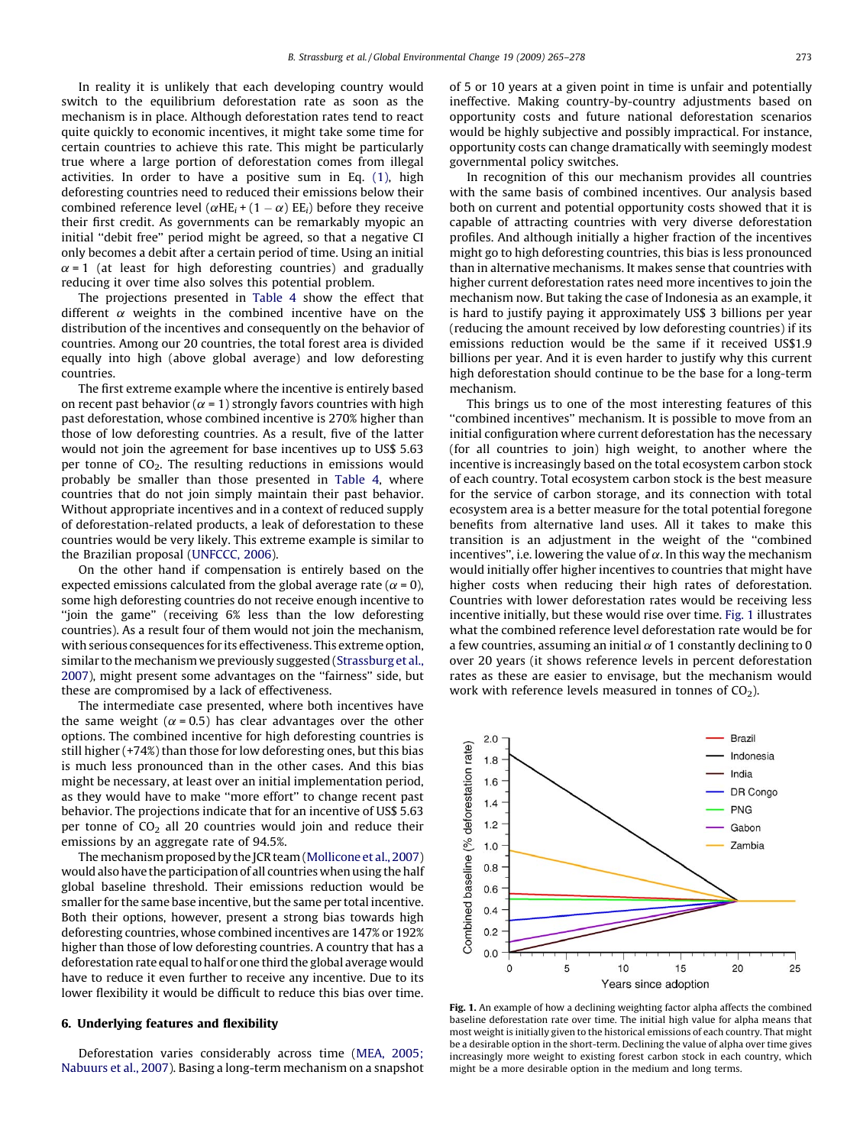<span id="page-8-0"></span>In reality it is unlikely that each developing country would switch to the equilibrium deforestation rate as soon as the mechanism is in place. Although deforestation rates tend to react quite quickly to economic incentives, it might take some time for certain countries to achieve this rate. This might be particularly true where a large portion of deforestation comes from illegal activities. In order to have a positive sum in Eq. [\(1\)](#page-2-0), high deforesting countries need to reduced their emissions below their combined reference level ( $\alpha$ HE<sub>i</sub> + (1 –  $\alpha$ ) EE<sub>i</sub>) before they receive their first credit. As governments can be remarkably myopic an initial ''debit free'' period might be agreed, so that a negative CI only becomes a debit after a certain period of time. Using an initial  $\alpha$  = 1 (at least for high deforesting countries) and gradually reducing it over time also solves this potential problem.

The projections presented in [Table 4](#page-7-0) show the effect that different  $\alpha$  weights in the combined incentive have on the distribution of the incentives and consequently on the behavior of countries. Among our 20 countries, the total forest area is divided equally into high (above global average) and low deforesting countries.

The first extreme example where the incentive is entirely based on recent past behavior ( $\alpha$  = 1) strongly favors countries with high past deforestation, whose combined incentive is 270% higher than those of low deforesting countries. As a result, five of the latter would not join the agreement for base incentives up to US\$ 5.63 per tonne of  $CO<sub>2</sub>$ . The resulting reductions in emissions would probably be smaller than those presented in [Table 4,](#page-7-0) where countries that do not join simply maintain their past behavior. Without appropriate incentives and in a context of reduced supply of deforestation-related products, a leak of deforestation to these countries would be very likely. This extreme example is similar to the Brazilian proposal ([UNFCCC, 2006](#page-13-0)).

On the other hand if compensation is entirely based on the expected emissions calculated from the global average rate ( $\alpha$  = 0), some high deforesting countries do not receive enough incentive to ''join the game'' (receiving 6% less than the low deforesting countries). As a result four of them would not join the mechanism, with serious consequences for its effectiveness. This extreme option, similar to the mechanism we previously suggested [\(Strassburg et al.,](#page-13-0) [2007](#page-13-0)), might present some advantages on the ''fairness'' side, but these are compromised by a lack of effectiveness.

The intermediate case presented, where both incentives have the same weight ( $\alpha$  = 0.5) has clear advantages over the other options. The combined incentive for high deforesting countries is still higher (+74%) than those for low deforesting ones, but this bias is much less pronounced than in the other cases. And this bias might be necessary, at least over an initial implementation period, as they would have to make ''more effort'' to change recent past behavior. The projections indicate that for an incentive of US\$ 5.63 per tonne of  $CO<sub>2</sub>$  all 20 countries would join and reduce their emissions by an aggregate rate of 94.5%.

The mechanism proposed by the JCR team ([Mollicone et al., 2007\)](#page-12-0) would also have the participation of all countries when using the half global baseline threshold. Their emissions reduction would be smaller for the same base incentive, but the same per total incentive. Both their options, however, present a strong bias towards high deforesting countries, whose combined incentives are 147% or 192% higher than those of low deforesting countries. A country that has a deforestation rate equal to half or one third the global average would have to reduce it even further to receive any incentive. Due to its lower flexibility it would be difficult to reduce this bias over time.

# 6. Underlying features and flexibility

Deforestation varies considerably across time ([MEA, 2005;](#page-12-0) [Nabuurs et al., 2007\)](#page-12-0). Basing a long-term mechanism on a snapshot of 5 or 10 years at a given point in time is unfair and potentially ineffective. Making country-by-country adjustments based on opportunity costs and future national deforestation scenarios would be highly subjective and possibly impractical. For instance, opportunity costs can change dramatically with seemingly modest governmental policy switches.

In recognition of this our mechanism provides all countries with the same basis of combined incentives. Our analysis based both on current and potential opportunity costs showed that it is capable of attracting countries with very diverse deforestation profiles. And although initially a higher fraction of the incentives might go to high deforesting countries, this bias is less pronounced than in alternative mechanisms. It makes sense that countries with higher current deforestation rates need more incentives to join the mechanism now. But taking the case of Indonesia as an example, it is hard to justify paying it approximately US\$ 3 billions per year (reducing the amount received by low deforesting countries) if its emissions reduction would be the same if it received US\$1.9 billions per year. And it is even harder to justify why this current high deforestation should continue to be the base for a long-term mechanism.

This brings us to one of the most interesting features of this ''combined incentives'' mechanism. It is possible to move from an initial configuration where current deforestation has the necessary (for all countries to join) high weight, to another where the incentive is increasingly based on the total ecosystem carbon stock of each country. Total ecosystem carbon stock is the best measure for the service of carbon storage, and its connection with total ecosystem area is a better measure for the total potential foregone benefits from alternative land uses. All it takes to make this transition is an adjustment in the weight of the ''combined incentives", i.e. lowering the value of  $\alpha$ . In this way the mechanism would initially offer higher incentives to countries that might have higher costs when reducing their high rates of deforestation. Countries with lower deforestation rates would be receiving less incentive initially, but these would rise over time. Fig. 1 illustrates what the combined reference level deforestation rate would be for a few countries, assuming an initial  $\alpha$  of 1 constantly declining to 0 over 20 years (it shows reference levels in percent deforestation rates as these are easier to envisage, but the mechanism would work with reference levels measured in tonnes of  $CO<sub>2</sub>$ ).



Fig. 1. An example of how a declining weighting factor alpha affects the combined baseline deforestation rate over time. The initial high value for alpha means that most weight is initially given to the historical emissions of each country. That might be a desirable option in the short-term. Declining the value of alpha over time gives increasingly more weight to existing forest carbon stock in each country, which might be a more desirable option in the medium and long terms.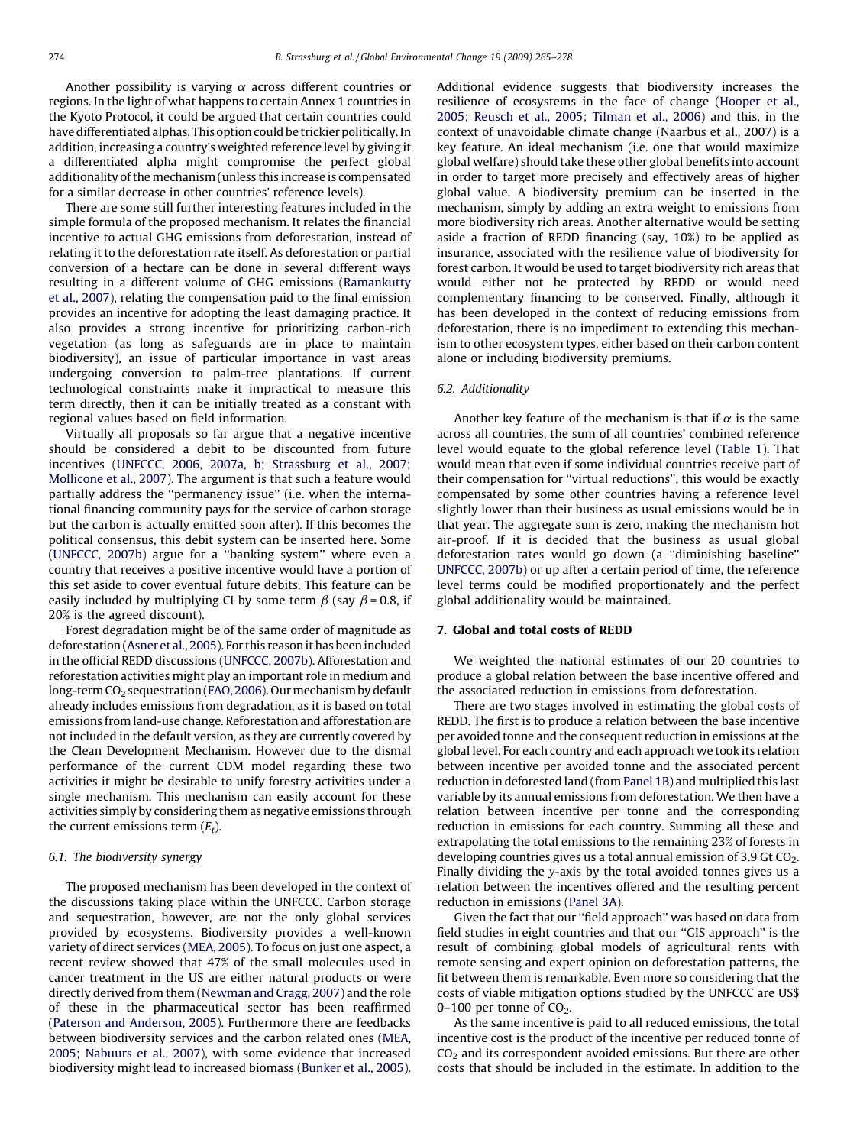Another possibility is varying  $\alpha$  across different countries or regions. In the light of what happens to certain Annex 1 countries in the Kyoto Protocol, it could be argued that certain countries could have differentiated alphas. This option could be trickier politically. In addition, increasing a country's weighted reference level by giving it a differentiated alpha might compromise the perfect global additionality of the mechanism (unless this increase is compensated for a similar decrease in other countries' reference levels).

There are some still further interesting features included in the simple formula of the proposed mechanism. It relates the financial incentive to actual GHG emissions from deforestation, instead of relating it to the deforestation rate itself. As deforestation or partial conversion of a hectare can be done in several different ways resulting in a different volume of GHG emissions [\(Ramankutty](#page-12-0) [et al., 2007](#page-12-0)), relating the compensation paid to the final emission provides an incentive for adopting the least damaging practice. It also provides a strong incentive for prioritizing carbon-rich vegetation (as long as safeguards are in place to maintain biodiversity), an issue of particular importance in vast areas undergoing conversion to palm-tree plantations. If current technological constraints make it impractical to measure this term directly, then it can be initially treated as a constant with regional values based on field information.

Virtually all proposals so far argue that a negative incentive should be considered a debit to be discounted from future incentives ([UNFCCC, 2006, 2007a, b; Strassburg et al., 2007;](#page-13-0) [Mollicone et al., 2007\)](#page-13-0). The argument is that such a feature would partially address the ''permanency issue'' (i.e. when the international financing community pays for the service of carbon storage but the carbon is actually emitted soon after). If this becomes the political consensus, this debit system can be inserted here. Some ([UNFCCC, 2007b](#page-13-0)) argue for a ''banking system'' where even a country that receives a positive incentive would have a portion of this set aside to cover eventual future debits. This feature can be easily included by multiplying CI by some term  $\beta$  (say  $\beta$  = 0.8, if 20% is the agreed discount).

Forest degradation might be of the same order of magnitude as deforestation [\(Asner et al., 2005](#page-12-0)). For this reason it has been included in the official REDD discussions [\(UNFCCC, 2007b](#page-13-0)). Afforestation and reforestation activities might play an important role in medium and long-term CO<sub>2</sub> sequestration ([FAO, 2006](#page-12-0)). Our mechanism by default already includes emissions from degradation, as it is based on total emissions from land-use change. Reforestation and afforestation are not included in the default version, as they are currently covered by the Clean Development Mechanism. However due to the dismal performance of the current CDM model regarding these two activities it might be desirable to unify forestry activities under a single mechanism. This mechanism can easily account for these activities simply by considering them as negative emissions through the current emissions term  $(E_t)$ .

# 6.1. The biodiversity synergy

The proposed mechanism has been developed in the context of the discussions taking place within the UNFCCC. Carbon storage and sequestration, however, are not the only global services provided by ecosystems. Biodiversity provides a well-known variety of direct services ([MEA, 2005](#page-12-0)). To focus on just one aspect, a recent review showed that 47% of the small molecules used in cancer treatment in the US are either natural products or were directly derived from them ([Newman and Cragg, 2007\)](#page-12-0) and the role of these in the pharmaceutical sector has been reaffirmed ([Paterson and Anderson, 2005](#page-12-0)). Furthermore there are feedbacks between biodiversity services and the carbon related ones [\(MEA,](#page-12-0) [2005; Nabuurs et al., 2007](#page-12-0)), with some evidence that increased biodiversity might lead to increased biomass [\(Bunker et al., 2005\)](#page-12-0). Additional evidence suggests that biodiversity increases the resilience of ecosystems in the face of change ([Hooper et al.,](#page-12-0) [2005; Reusch et al., 2005; Tilman et al., 2006\)](#page-12-0) and this, in the context of unavoidable climate change (Naarbus et al., 2007) is a key feature. An ideal mechanism (i.e. one that would maximize global welfare) should take these other global benefits into account in order to target more precisely and effectively areas of higher global value. A biodiversity premium can be inserted in the mechanism, simply by adding an extra weight to emissions from more biodiversity rich areas. Another alternative would be setting aside a fraction of REDD financing (say, 10%) to be applied as insurance, associated with the resilience value of biodiversity for forest carbon. It would be used to target biodiversity rich areas that would either not be protected by REDD or would need complementary financing to be conserved. Finally, although it has been developed in the context of reducing emissions from deforestation, there is no impediment to extending this mechanism to other ecosystem types, either based on their carbon content alone or including biodiversity premiums.

# 6.2. Additionality

Another key feature of the mechanism is that if  $\alpha$  is the same across all countries, the sum of all countries' combined reference level would equate to the global reference level [\(Table 1](#page-3-0)). That would mean that even if some individual countries receive part of their compensation for ''virtual reductions'', this would be exactly compensated by some other countries having a reference level slightly lower than their business as usual emissions would be in that year. The aggregate sum is zero, making the mechanism hot air-proof. If it is decided that the business as usual global deforestation rates would go down (a ''diminishing baseline'' [UNFCCC, 2007b](#page-13-0)) or up after a certain period of time, the reference level terms could be modified proportionately and the perfect global additionality would be maintained.

# 7. Global and total costs of REDD

We weighted the national estimates of our 20 countries to produce a global relation between the base incentive offered and the associated reduction in emissions from deforestation.

There are two stages involved in estimating the global costs of REDD. The first is to produce a relation between the base incentive per avoided tonne and the consequent reduction in emissions at the global level. For each country and each approach we took its relation between incentive per avoided tonne and the associated percent reduction in deforested land (from [Panel 1B\)](#page-10-0) and multiplied this last variable by its annual emissions from deforestation. We then have a relation between incentive per tonne and the corresponding reduction in emissions for each country. Summing all these and extrapolating the total emissions to the remaining 23% of forests in developing countries gives us a total annual emission of 3.9 Gt  $CO<sub>2</sub>$ . Finally dividing the y-axis by the total avoided tonnes gives us a relation between the incentives offered and the resulting percent reduction in emissions [\(Panel 3A](#page-11-0)).

Given the fact that our ''field approach'' was based on data from field studies in eight countries and that our ''GIS approach'' is the result of combining global models of agricultural rents with remote sensing and expert opinion on deforestation patterns, the fit between them is remarkable. Even more so considering that the costs of viable mitigation options studied by the UNFCCC are US\$  $0-100$  per tonne of  $CO<sub>2</sub>$ .

As the same incentive is paid to all reduced emissions, the total incentive cost is the product of the incentive per reduced tonne of  $CO<sub>2</sub>$  and its correspondent avoided emissions. But there are other costs that should be included in the estimate. In addition to the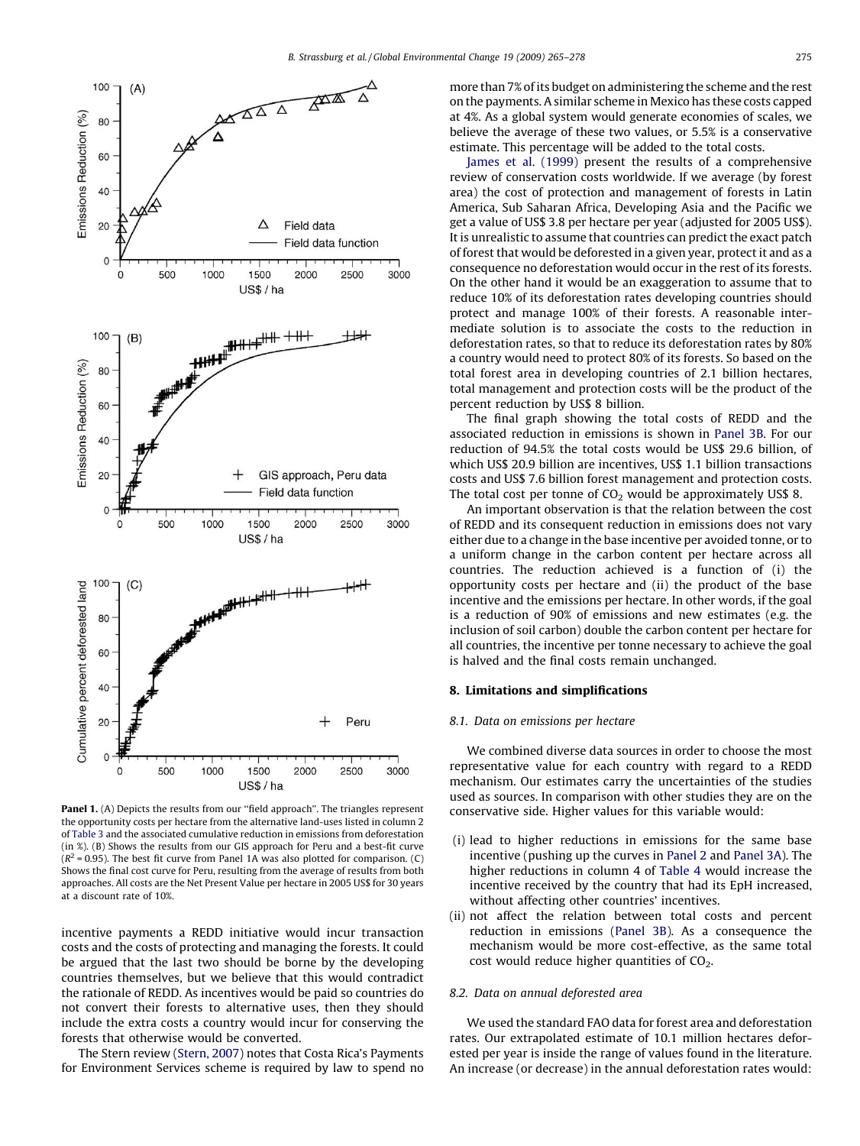<span id="page-10-0"></span>

Panel 1. (A) Depicts the results from our "field approach". The triangles represent the opportunity costs per hectare from the alternative land-uses listed in column 2 of [Table 3](#page-6-0) and the associated cumulative reduction in emissions from deforestation (in %). (B) Shows the results from our GIS approach for Peru and a best-fit curve  $(R^2 = 0.95)$ . The best fit curve from Panel 1A was also plotted for comparison. (C) Shows the final cost curve for Peru, resulting from the average of results from both approaches. All costs are the Net Present Value per hectare in 2005 US\$ for 30 years at a discount rate of 10%.

incentive payments a REDD initiative would incur transaction costs and the costs of protecting and managing the forests. It could be argued that the last two should be borne by the developing countries themselves, but we believe that this would contradict the rationale of REDD. As incentives would be paid so countries do not convert their forests to alternative uses, then they should include the extra costs a country would incur for conserving the forests that otherwise would be converted.

The Stern review [\(Stern, 2007\)](#page-13-0) notes that Costa Rica's Payments for Environment Services scheme is required by law to spend no more than 7% of its budget on administering the scheme and the rest on the payments. A similar scheme in Mexico has these costs capped at 4%. As a global system would generate economies of scales, we believe the average of these two values, or 5.5% is a conservative estimate. This percentage will be added to the total costs.

[James et al. \(1999\)](#page-12-0) present the results of a comprehensive review of conservation costs worldwide. If we average (by forest area) the cost of protection and management of forests in Latin America, Sub Saharan Africa, Developing Asia and the Pacific we get a value of US\$ 3.8 per hectare per year (adjusted for 2005 US\$). It is unrealistic to assume that countries can predict the exact patch of forest that would be deforested in a given year, protect it and as a consequence no deforestation would occur in the rest of its forests. On the other hand it would be an exaggeration to assume that to reduce 10% of its deforestation rates developing countries should protect and manage 100% of their forests. A reasonable intermediate solution is to associate the costs to the reduction in deforestation rates, so that to reduce its deforestation rates by 80% a country would need to protect 80% of its forests. So based on the total forest area in developing countries of 2.1 billion hectares, total management and protection costs will be the product of the percent reduction by US\$ 8 billion.

The final graph showing the total costs of REDD and the associated reduction in emissions is shown in [Panel 3B.](#page-11-0) For our reduction of 94.5% the total costs would be US\$ 29.6 billion, of which US\$ 20.9 billion are incentives, US\$ 1.1 billion transactions costs and US\$ 7.6 billion forest management and protection costs. The total cost per tonne of  $CO<sub>2</sub>$  would be approximately US\$ 8.

An important observation is that the relation between the cost of REDD and its consequent reduction in emissions does not vary either due to a change in the base incentive per avoided tonne, or to a uniform change in the carbon content per hectare across all countries. The reduction achieved is a function of (i) the opportunity costs per hectare and (ii) the product of the base incentive and the emissions per hectare. In other words, if the goal is a reduction of 90% of emissions and new estimates (e.g. the inclusion of soil carbon) double the carbon content per hectare for all countries, the incentive per tonne necessary to achieve the goal is halved and the final costs remain unchanged.

# 8. Limitations and simplifications

# 8.1. Data on emissions per hectare

We combined diverse data sources in order to choose the most representative value for each country with regard to a REDD mechanism. Our estimates carry the uncertainties of the studies used as sources. In comparison with other studies they are on the conservative side. Higher values for this variable would:

- (i) lead to higher reductions in emissions for the same base incentive (pushing up the curves in [Panel 2](#page-11-0) and [Panel 3A](#page-11-0)). The higher reductions in column 4 of [Table 4](#page-7-0) would increase the incentive received by the country that had its EpH increased, without affecting other countries' incentives.
- (ii) not affect the relation between total costs and percent reduction in emissions [\(Panel 3B\)](#page-11-0). As a consequence the mechanism would be more cost-effective, as the same total cost would reduce higher quantities of  $CO<sub>2</sub>$ .

# 8.2. Data on annual deforested area

We used the standard FAO data for forest area and deforestation rates. Our extrapolated estimate of 10.1 million hectares deforested per year is inside the range of values found in the literature. An increase (or decrease) in the annual deforestation rates would: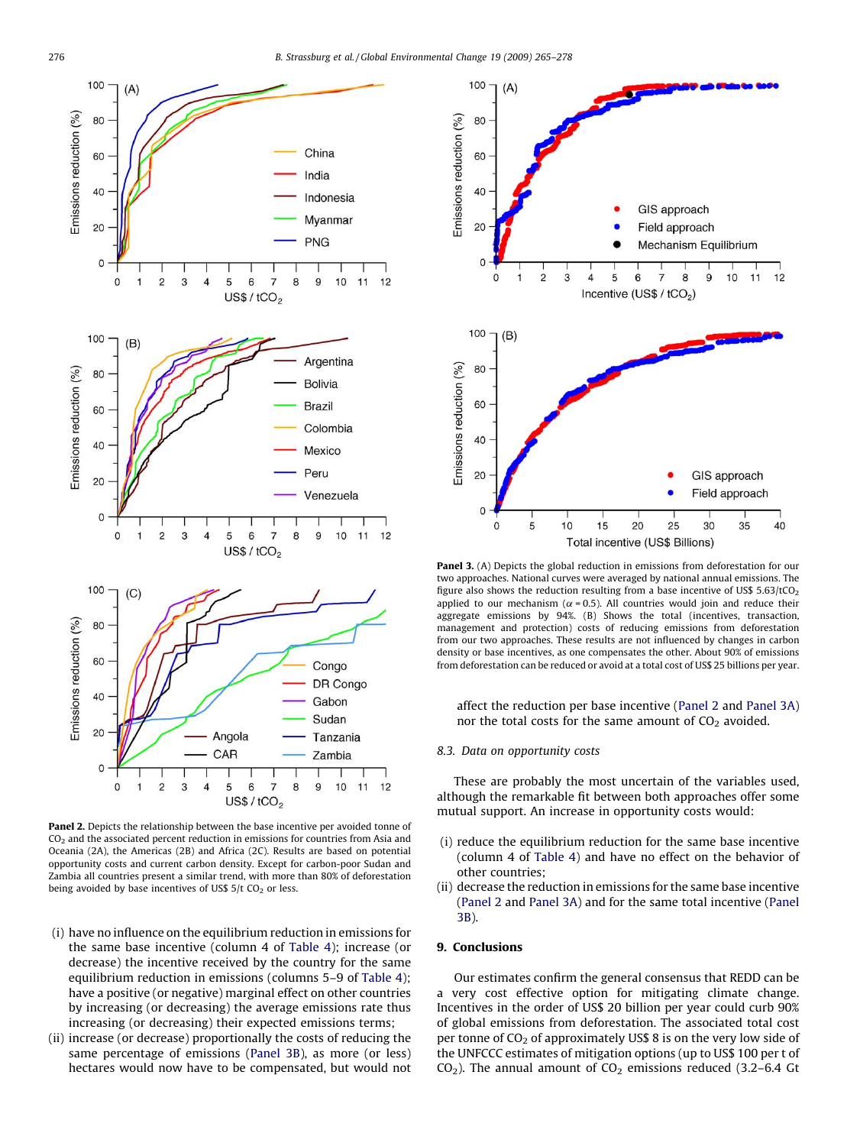<span id="page-11-0"></span>

**Panel 2.** Depicts the relationship between the base incentive per avoided tonne of CO2 and the associated percent reduction in emissions for countries from Asia and Oceania (2A), the Americas (2B) and Africa (2C). Results are based on potential opportunity costs and current carbon density. Except for carbon-poor Sudan and Zambia all countries present a similar trend, with more than 80% of deforestation being avoided by base incentives of US\$  $5/t$  CO<sub>2</sub> or less.

- (i) have no influence on the equilibrium reduction in emissions for the same base incentive (column 4 of [Table 4](#page-7-0)); increase (or decrease) the incentive received by the country for the same equilibrium reduction in emissions (columns 5–9 of [Table 4\)](#page-7-0); have a positive (or negative) marginal effect on other countries by increasing (or decreasing) the average emissions rate thus increasing (or decreasing) their expected emissions terms;
- (ii) increase (or decrease) proportionally the costs of reducing the same percentage of emissions (Panel 3B), as more (or less) hectares would now have to be compensated, but would not



Panel 3. (A) Depicts the global reduction in emissions from deforestation for our two approaches. National curves were averaged by national annual emissions. The figure also shows the reduction resulting from a base incentive of US\$  $5.63$ /tCO<sub>2</sub> applied to our mechanism ( $\alpha$  = 0.5). All countries would join and reduce their aggregate emissions by 94%. (B) Shows the total (incentives, transaction, management and protection) costs of reducing emissions from deforestation from our two approaches. These results are not influenced by changes in carbon density or base incentives, as one compensates the other. About 90% of emissions from deforestation can be reduced or avoid at a total cost of US\$ 25 billions per year.

affect the reduction per base incentive (Panel 2 and Panel 3A) nor the total costs for the same amount of  $CO<sub>2</sub>$  avoided.

# 8.3. Data on opportunity costs

These are probably the most uncertain of the variables used, although the remarkable fit between both approaches offer some mutual support. An increase in opportunity costs would:

- (i) reduce the equilibrium reduction for the same base incentive (column 4 of [Table 4\)](#page-7-0) and have no effect on the behavior of other countries;
- (ii) decrease the reduction in emissions for the same base incentive (Panel 2 and Panel 3A) and for the same total incentive (Panel 3B).

# 9. Conclusions

Our estimates confirm the general consensus that REDD can be a very cost effective option for mitigating climate change. Incentives in the order of US\$ 20 billion per year could curb 90% of global emissions from deforestation. The associated total cost per tonne of  $CO<sub>2</sub>$  of approximately US\$ 8 is on the very low side of the UNFCCC estimates of mitigation options (up to US\$ 100 per t of  $CO<sub>2</sub>$ ). The annual amount of  $CO<sub>2</sub>$  emissions reduced (3.2–6.4 Gt)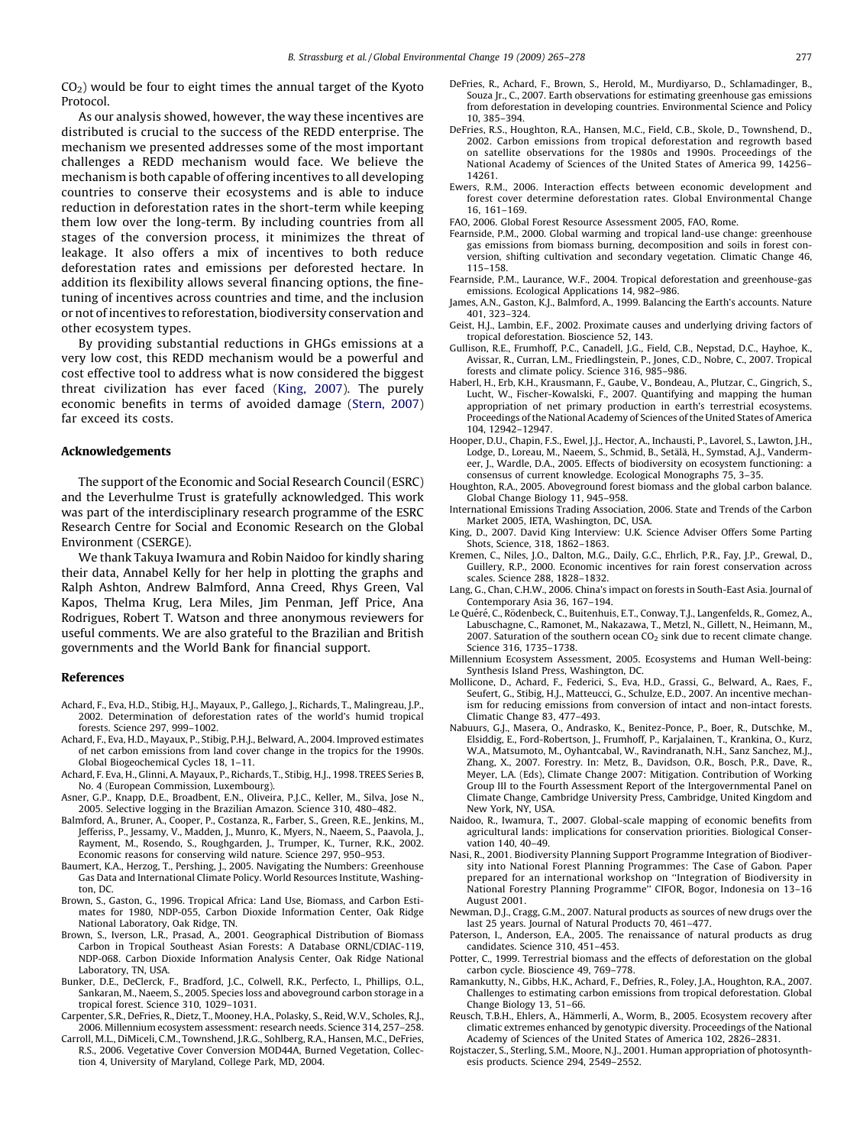<span id="page-12-0"></span> $CO<sub>2</sub>$ ) would be four to eight times the annual target of the Kyoto Protocol.

As our analysis showed, however, the way these incentives are distributed is crucial to the success of the REDD enterprise. The mechanism we presented addresses some of the most important challenges a REDD mechanism would face. We believe the mechanism is both capable of offering incentives to all developing countries to conserve their ecosystems and is able to induce reduction in deforestation rates in the short-term while keeping them low over the long-term. By including countries from all stages of the conversion process, it minimizes the threat of leakage. It also offers a mix of incentives to both reduce deforestation rates and emissions per deforested hectare. In addition its flexibility allows several financing options, the finetuning of incentives across countries and time, and the inclusion or not of incentives to reforestation, biodiversity conservation and other ecosystem types.

By providing substantial reductions in GHGs emissions at a very low cost, this REDD mechanism would be a powerful and cost effective tool to address what is now considered the biggest threat civilization has ever faced (King, 2007). The purely economic benefits in terms of avoided damage [\(Stern, 2007\)](#page-13-0) far exceed its costs.

# Acknowledgements

The support of the Economic and Social Research Council (ESRC) and the Leverhulme Trust is gratefully acknowledged. This work was part of the interdisciplinary research programme of the ESRC Research Centre for Social and Economic Research on the Global Environment (CSERGE).

We thank Takuya Iwamura and Robin Naidoo for kindly sharing their data, Annabel Kelly for her help in plotting the graphs and Ralph Ashton, Andrew Balmford, Anna Creed, Rhys Green, Val Kapos, Thelma Krug, Lera Miles, Jim Penman, Jeff Price, Ana Rodrigues, Robert T. Watson and three anonymous reviewers for useful comments. We are also grateful to the Brazilian and British governments and the World Bank for financial support.

#### References

- Achard, F., Eva, H.D., Stibig, H.J., Mayaux, P., Gallego, J., Richards, T., Malingreau, J.P., 2002. Determination of deforestation rates of the world's humid tropical forests. Science 297, 999–1002.
- Achard, F., Eva, H.D., Mayaux, P., Stibig, P.H.J., Belward, A., 2004. Improved estimates of net carbon emissions from land cover change in the tropics for the 1990s. Global Biogeochemical Cycles 18, 1–11.
- Achard, F. Eva, H., Glinni, A. Mayaux, P., Richards, T., Stibig, H.J., 1998. TREES Series B, No. 4 (European Commission, Luxembourg).
- Asner, G.P., Knapp, D.E., Broadbent, E.N., Oliveira, P.J.C., Keller, M., Silva, Jose N., 2005. Selective logging in the Brazilian Amazon. Science 310, 480–482.
- Balmford, A., Bruner, A., Cooper, P., Costanza, R., Farber, S., Green, R.E., Jenkins, M., Jefferiss, P., Jessamy, V., Madden, J., Munro, K., Myers, N., Naeem, S., Paavola, J., Rayment, M., Rosendo, S., Roughgarden, J., Trumper, K., Turner, R.K., 2002. Economic reasons for conserving wild nature. Science 297, 950–953.
- Baumert, K.A., Herzog, T., Pershing, J., 2005. Navigating the Numbers: Greenhouse Gas Data and International Climate Policy. World Resources Institute, Washington, DC.
- Brown, S., Gaston, G., 1996. Tropical Africa: Land Use, Biomass, and Carbon Estimates for 1980, NDP-055, Carbon Dioxide Information Center, Oak Ridge National Laboratory, Oak Ridge, TN.
- Brown, S., Iverson, L.R., Prasad, A., 2001. Geographical Distribution of Biomass Carbon in Tropical Southeast Asian Forests: A Database ORNL/CDIAC-119, NDP-068. Carbon Dioxide Information Analysis Center, Oak Ridge National Laboratory, TN, USA.
- Bunker, D.E., DeClerck, F., Bradford, J.C., Colwell, R.K., Perfecto, I., Phillips, O.L., Sankaran, M., Naeem, S., 2005. Species loss and aboveground carbon storage in a tropical forest. Science 310, 1029–1031.
- Carpenter, S.R., DeFries, R., Dietz, T., Mooney, H.A., Polasky, S., Reid, W.V., Scholes, R.J., 2006. Millennium ecosystem assessment: research needs. Science 314, 257–258.
- Carroll, M.L., DiMiceli, C.M., Townshend, J.R.G., Sohlberg, R.A., Hansen, M.C., DeFries, R.S., 2006. Vegetative Cover Conversion MOD44A, Burned Vegetation, Collection 4, University of Maryland, College Park, MD, 2004.
- DeFries, R., Achard, F., Brown, S., Herold, M., Murdiyarso, D., Schlamadinger, B., Souza Jr., C., 2007. Earth observations for estimating greenhouse gas emissions from deforestation in developing countries. Environmental Science and Policy 10, 385–394.
- DeFries, R.S., Houghton, R.A., Hansen, M.C., Field, C.B., Skole, D., Townshend, D., 2002. Carbon emissions from tropical deforestation and regrowth based on satellite observations for the 1980s and 1990s. Proceedings of the National Academy of Sciences of the United States of America 99, 14256– 14261.
- Ewers, R.M., 2006. Interaction effects between economic development and forest cover determine deforestation rates. Global Environmental Change 16, 161–169.
- FAO, 2006. Global Forest Resource Assessment 2005, FAO, Rome.
- Fearnside, P.M., 2000. Global warming and tropical land-use change: greenhouse gas emissions from biomass burning, decomposition and soils in forest conversion, shifting cultivation and secondary vegetation. Climatic Change 46, 115–158.
- Fearnside, P.M., Laurance, W.F., 2004. Tropical deforestation and greenhouse-gas emissions. Ecological Applications 14, 982–986.
- James, A.N., Gaston, K.J., Balmford, A., 1999. Balancing the Earth's accounts. Nature 401, 323–324.
- Geist, H.J., Lambin, E.F., 2002. Proximate causes and underlying driving factors of tropical deforestation. Bioscience 52, 143.
- Gullison, R.E., Frumhoff, P.C., Canadell, J.G., Field, C.B., Nepstad, D.C., Hayhoe, K., Avissar, R., Curran, L.M., Friedlingstein, P., Jones, C.D., Nobre, C., 2007. Tropical forests and climate policy. Science 316, 985–986.
- Haberl, H., Erb, K.H., Krausmann, F., Gaube, V., Bondeau, A., Plutzar, C., Gingrich, S., Lucht, W., Fischer-Kowalski, F., 2007. Quantifying and mapping the human appropriation of net primary production in earth's terrestrial ecosystems. Proceedings of the National Academy of Sciences of the United States of America 104, 12942–12947.
- Hooper, D.U., Chapin, F.S., Ewel, J.J., Hector, A., Inchausti, P., Lavorel, S., Lawton, J.H., Lodge, D., Loreau, M., Naeem, S., Schmid, B., Setälä, H., Symstad, A.J., Vandermeer, J., Wardle, D.A., 2005. Effects of biodiversity on ecosystem functioning: a consensus of current knowledge. Ecological Monographs 75, 3–35.
- Houghton, R.A., 2005. Aboveground forest biomass and the global carbon balance. Global Change Biology 11, 945–958.
- International Emissions Trading Association, 2006. State and Trends of the Carbon Market 2005, IETA, Washington, DC, USA.
- King, D., 2007. David King Interview: U.K. Science Adviser Offers Some Parting Shots, Science, 318, 1862–1863.
- Kremen, C., Niles, J.O., Dalton, M.G., Daily, G.C., Ehrlich, P.R., Fay, J.P., Grewal, D., Guillery, R.P., 2000. Economic incentives for rain forest conservation across scales. Science 288, 1828–1832.
- Lang, G., Chan, C.H.W., 2006. China's impact on forests in South-East Asia. Journal of Contemporary Asia 36, 167–194.
- Le Quéré, C., Rödenbeck, C., Buitenhuis, E.T., Conway, T.J., Langenfelds, R., Gomez, A., Labuschagne, C., Ramonet, M., Nakazawa, T., Metzl, N., Gillett, N., Heimann, M., 2007. Saturation of the southern ocean  $CO<sub>2</sub>$  sink due to recent climate change. Science 316, 1735–1738.
- Millennium Ecosystem Assessment, 2005. Ecosystems and Human Well-being: Synthesis Island Press, Washington, DC.
- Mollicone, D., Achard, F., Federici, S., Eva, H.D., Grassi, G., Belward, A., Raes, F., Seufert, G., Stibig, H.J., Matteucci, G., Schulze, E.D., 2007. An incentive mechanism for reducing emissions from conversion of intact and non-intact forests. Climatic Change 83, 477–493.
- Nabuurs, G.J., Masera, O., Andrasko, K., Benitez-Ponce, P., Boer, R., Dutschke, M., Elsiddig, E., Ford-Robertson, J., Frumhoff, P., Karjalainen, T., Krankina, O., Kurz, W.A., Matsumoto, M., Oyhantcabal, W., Ravindranath, N.H., Sanz Sanchez, M.J., Zhang, X., 2007. Forestry. In: Metz, B., Davidson, O.R., Bosch, P.R., Dave, R., Meyer, L.A. (Eds), Climate Change 2007: Mitigation. Contribution of Working Group III to the Fourth Assessment Report of the Intergovernmental Panel on Climate Change, Cambridge University Press, Cambridge, United Kingdom and New York, NY, USA.
- Naidoo, R., Iwamura, T., 2007. Global-scale mapping of economic benefits from agricultural lands: implications for conservation priorities. Biological Conservation 140, 40–49.
- Nasi, R., 2001. Biodiversity Planning Support Programme Integration of Biodiversity into National Forest Planning Programmes: The Case of Gabon. Paper prepared for an international workshop on ''Integration of Biodiversity in National Forestry Planning Programme'' CIFOR, Bogor, Indonesia on 13–16 August 2001.
- Newman, D.J., Cragg, G.M., 2007. Natural products as sources of new drugs over the last 25 years. Journal of Natural Products 70, 461–477.
- Paterson, I., Anderson, E.A., 2005. The renaissance of natural products as drug candidates. Science 310, 451–453.
- Potter, C., 1999. Terrestrial biomass and the effects of deforestation on the global carbon cycle. Bioscience 49, 769–778.
- Ramankutty, N., Gibbs, H.K., Achard, F., Defries, R., Foley, J.A., Houghton, R.A., 2007. Challenges to estimating carbon emissions from tropical deforestation. Global Change Biology 13, 51–66.
- Reusch, T.B.H., Ehlers, A., Hämmerli, A., Worm, B., 2005. Ecosystem recovery after climatic extremes enhanced by genotypic diversity. Proceedings of the National Academy of Sciences of the United States of America 102, 2826–2831.
- Rojstaczer, S., Sterling, S.M., Moore, N.J., 2001. Human appropriation of photosynthesis products. Science 294, 2549–2552.